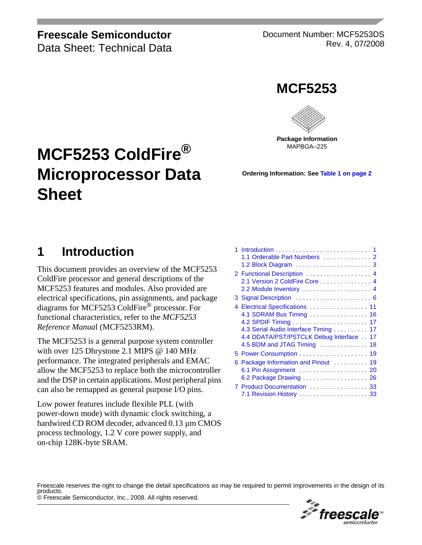### **Freescale Semiconductor**

Data Sheet: Technical Data

Document Number: MCF5253DS Rev. 4, 07/2008





MAPBGA–225

# **MCF5253 ColdFire® Microprocessor Data Sheet**

**Ordering Information: See [Table 1](#page-1-1) [on page 2](#page-1-1)**

# <span id="page-0-0"></span>**1 Introduction**

This document provides an overview of the MCF5253 ColdFire processor and general descriptions of the MCF5253 features and modules. Also provided are electrical specifications, pin assignments, and package diagrams for MCF5253 ColdFire® processor. For functional characteristics, refer to the *MCF5253 Reference Manua*l (MCF5253RM).

The MCF5253 is a general purpose system controller with over 125 Dhrystone 2.1 MIPS @ 140 MHz performance. The integrated peripherals and EMAC allow the MCF5253 to replace both the microcontroller and the DSP in certain applications. Most peripheral pins can also be remapped as general purpose I/O pins.

Low power features include flexible PLL (with power-down mode) with dynamic clock switching, a hardwired CD ROM decoder, advanced 0.13 µm CMOS process technology, 1.2 V core power supply, and on-chip 128K-byte SRAM.

| 1.<br>1.1 Orderable Part Numbers  2                                                                                                                                            |
|--------------------------------------------------------------------------------------------------------------------------------------------------------------------------------|
| 2 Functional Description  4<br>2.1 Version 2 ColdFire Core 4<br>2.2 Module Inventory  4                                                                                        |
|                                                                                                                                                                                |
| 4 Electrical Specifications  11<br>4.1 SDRAM Bus Timing  16<br>4.3 Serial Audio Interface Timing  17<br>4.4 DDATA/PST/PSTCLK Debug Interface 17<br>4.5 BDM and JTAG Timing  18 |
|                                                                                                                                                                                |
| 6 Package Information and Pinout<br>19<br>6.1 Pin Assignment  20<br>6.2 Package Drawing 26                                                                                     |
| 7 Product Documentation  33                                                                                                                                                    |

© Freescale Semiconductor, Inc., 2008. All rights reserved. Freescale reserves the right to change the detail specifications as may be required to permit improvements in the design of its

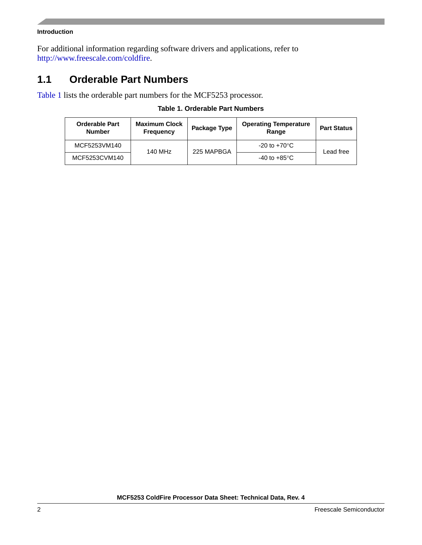#### **Introduction**

For additional information regarding software drivers and applications, refer to [http://www.freescale.com/coldfire.](http://www.freescale.com/coldfire)

### <span id="page-1-0"></span>**1.1 Orderable Part Numbers**

<span id="page-1-1"></span>[Table 1](#page-1-1) lists the orderable part numbers for the MCF5253 processor.

#### **Table 1. Orderable Part Numbers**

| <b>Orderable Part</b><br><b>Number</b> | <b>Maximum Clock</b><br><b>Frequency</b> | Package Type | <b>Operating Temperature</b><br>Range | <b>Part Status</b> |  |
|----------------------------------------|------------------------------------------|--------------|---------------------------------------|--------------------|--|
| MCF5253VM140                           | 140 MHz                                  | 225 MAPBGA   | $-20$ to $+70^{\circ}$ C              | Lead free          |  |
| MCF5253CVM140                          |                                          |              | -40 to +85°C                          |                    |  |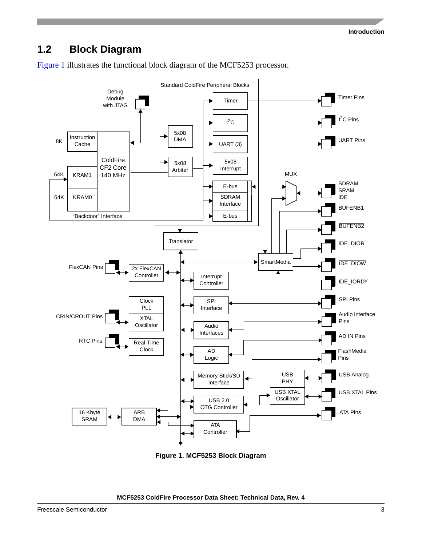### <span id="page-2-0"></span>**1.2 Block Diagram**

[Figure 1](#page-2-1) illustrates the functional block diagram of the MCF5253 processor.



<span id="page-2-1"></span>**Figure 1. MCF5253 Block Diagram**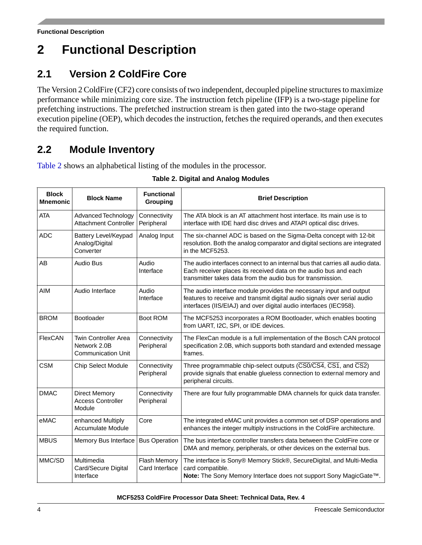# <span id="page-3-0"></span>**2 Functional Description**

### <span id="page-3-1"></span>**2.1 Version 2 ColdFire Core**

The Version 2 ColdFire (CF2) core consists of two independent, decoupled pipeline structures to maximize performance while minimizing core size. The instruction fetch pipeline (IFP) is a two-stage pipeline for prefetching instructions. The prefetched instruction stream is then gated into the two-stage operand execution pipeline (OEP), which decodes the instruction, fetches the required operands, and then executes the required function.

## <span id="page-3-2"></span>**2.2 Module Inventory**

<span id="page-3-3"></span>[Table 2](#page-3-3) shows an alphabetical listing of the modules in the processor.

| <b>Block</b><br><b>Mnemonic</b> | <b>Block Name</b>                                                        | <b>Functional</b><br>Grouping  | <b>Brief Description</b>                                                                                                                                                                                            |  |
|---------------------------------|--------------------------------------------------------------------------|--------------------------------|---------------------------------------------------------------------------------------------------------------------------------------------------------------------------------------------------------------------|--|
| <b>ATA</b>                      | Advanced Technology<br><b>Attachment Controller</b>                      | Connectivity<br>Peripheral     | The ATA block is an AT attachment host interface. Its main use is to<br>interface with IDE hard disc drives and ATAPI optical disc drives.                                                                          |  |
| <b>ADC</b>                      | Battery Level/Keypad<br>Analog/Digital<br>Converter                      | Analog Input                   | The six-channel ADC is based on the Sigma-Delta concept with 12-bit<br>resolution. Both the analog comparator and digital sections are integrated<br>in the MCF5253.                                                |  |
| AB                              | Audio Bus                                                                | Audio<br>Interface             | The audio interfaces connect to an internal bus that carries all audio data.<br>Each receiver places its received data on the audio bus and each<br>transmitter takes data from the audio bus for transmission.     |  |
| AIM                             | Audio Interface                                                          | Audio<br>Interface             | The audio interface module provides the necessary input and output<br>features to receive and transmit digital audio signals over serial audio<br>interfaces (IIS/EIAJ) and over digital audio interfaces (IEC958). |  |
| <b>BROM</b>                     | Bootloader                                                               | Boot ROM                       | The MCF5253 incorporates a ROM Bootloader, which enables booting<br>from UART, I2C, SPI, or IDE devices.                                                                                                            |  |
| FlexCAN                         | <b>Twin Controller Area</b><br>Network 2.0B<br><b>Communication Unit</b> | Connectivity<br>Peripheral     | The FlexCan module is a full implementation of the Bosch CAN protocol<br>specification 2.0B, which supports both standard and extended message<br>frames.                                                           |  |
| <b>CSM</b>                      | Chip Select Module                                                       | Connectivity<br>Peripheral     | Three programmable chip-select outputs (CSO/CS4, CS1, and CS2)<br>provide signals that enable glueless connection to external memory and<br>peripheral circuits.                                                    |  |
| <b>DMAC</b>                     | <b>Direct Memory</b><br><b>Access Controller</b><br>Module               | Connectivity<br>Peripheral     | There are four fully programmable DMA channels for quick data transfer.                                                                                                                                             |  |
| eMAC                            | enhanced Multiply<br><b>Accumulate Module</b>                            | Core                           | The integrated eMAC unit provides a common set of DSP operations and<br>enhances the integer multiply instructions in the ColdFire architecture.                                                                    |  |
| <b>MBUS</b>                     | Memory Bus Interface                                                     | <b>Bus Operation</b>           | The bus interface controller transfers data between the ColdFire core or<br>DMA and memory, peripherals, or other devices on the external bus.                                                                      |  |
| MMC/SD                          | Multimedia<br>Card/Secure Digital<br>Interface                           | Flash Memory<br>Card Interface | The interface is Sony® Memory Stick®, SecureDigital, and Multi-Media<br>card compatible.<br>Note: The Sony Memory Interface does not support Sony MagicGate™.                                                       |  |

#### **Table 2. Digital and Analog Modules**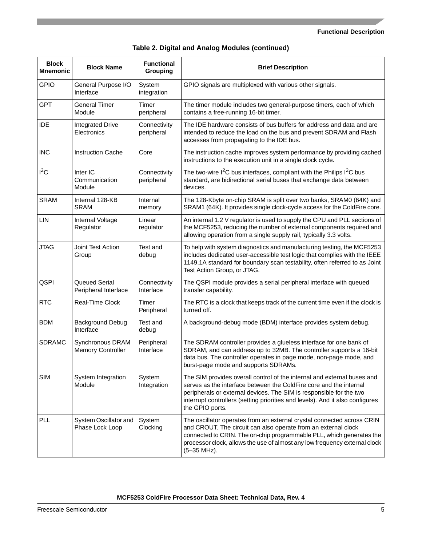#### **Functional Description**

|  | Table 2. Digital and Analog Modules (continued) |  |  |
|--|-------------------------------------------------|--|--|
|--|-------------------------------------------------|--|--|

| <b>Block</b><br><b>Mnemonic</b> | <b>Block Name</b>                            | <b>Functional</b><br>Grouping | <b>Brief Description</b>                                                                                                                                                                                                                                                                                                 |  |
|---------------------------------|----------------------------------------------|-------------------------------|--------------------------------------------------------------------------------------------------------------------------------------------------------------------------------------------------------------------------------------------------------------------------------------------------------------------------|--|
| <b>GPIO</b>                     | General Purpose I/O<br>Interface             | System<br>integration         | GPIO signals are multiplexed with various other signals.                                                                                                                                                                                                                                                                 |  |
| <b>GPT</b>                      | <b>General Timer</b><br>Module               | Timer<br>peripheral           | The timer module includes two general-purpose timers, each of which<br>contains a free-running 16-bit timer.                                                                                                                                                                                                             |  |
| <b>IDE</b>                      | <b>Integrated Drive</b><br>Electronics       | Connectivity<br>peripheral    | The IDE hardware consists of bus buffers for address and data and are<br>intended to reduce the load on the bus and prevent SDRAM and Flash<br>accesses from propagating to the IDE bus.                                                                                                                                 |  |
| <b>INC</b>                      | <b>Instruction Cache</b>                     | Core                          | The instruction cache improves system performance by providing cached<br>instructions to the execution unit in a single clock cycle.                                                                                                                                                                                     |  |
| $I^2C$                          | Inter IC<br>Communication<br>Module          | Connectivity<br>peripheral    | The two-wire $1^2C$ bus interfaces, compliant with the Philips $1^2C$ bus<br>standard, are bidirectional serial buses that exchange data between<br>devices.                                                                                                                                                             |  |
| <b>SRAM</b>                     | Internal 128-KB<br><b>SRAM</b>               | Internal<br>memory            | The 128-Kbyte on-chip SRAM is split over two banks, SRAM0 (64K) and<br>SRAM1 (64K). It provides single clock-cycle access for the ColdFire core.                                                                                                                                                                         |  |
| LIN                             | Internal Voltage<br>Regulator                | Linear<br>regulator           | An internal 1.2 V regulator is used to supply the CPU and PLL sections of<br>the MCF5253, reducing the number of external components required and<br>allowing operation from a single supply rail, typically 3.3 volts.                                                                                                  |  |
| <b>JTAG</b>                     | Joint Test Action<br>Group                   | Test and<br>debug             | To help with system diagnostics and manufacturing testing, the MCF5253<br>includes dedicated user-accessible test logic that complies with the IEEE<br>1149.1A standard for boundary scan testability, often referred to as Joint<br>Test Action Group, or JTAG.                                                         |  |
| QSPI                            | Queued Serial<br>Peripheral Interface        | Connectivity<br>Interface     | The QSPI module provides a serial peripheral interface with queued<br>transfer capability.                                                                                                                                                                                                                               |  |
| <b>RTC</b>                      | Real-Time Clock                              | Timer<br>Peripheral           | The RTC is a clock that keeps track of the current time even if the clock is<br>turned off.                                                                                                                                                                                                                              |  |
| <b>BDM</b>                      | <b>Background Debug</b><br>Interface         | Test and<br>debug             | A background-debug mode (BDM) interface provides system debug.                                                                                                                                                                                                                                                           |  |
| <b>SDRAMC</b>                   | Synchronous DRAM<br><b>Memory Controller</b> | Peripheral<br>Interface       | The SDRAM controller provides a glueless interface for one bank of<br>SDRAM, and can address up to 32MB. The controller supports a 16-bit<br>data bus. The controller operates in page mode, non-page mode, and<br>burst-page mode and supports SDRAMs.                                                                  |  |
| <b>SIM</b>                      | System Integration<br>Module                 | System<br>Integration         | The SIM provides overall control of the internal and external buses and<br>serves as the interface between the ColdFire core and the internal<br>peripherals or external devices. The SIM is responsible for the two<br>interrupt controllers (setting priorities and levels). And it also configures<br>the GPIO ports. |  |
| <b>PLL</b>                      | System Oscillator and<br>Phase Lock Loop     | System<br>Clocking            | The oscillator operates from an external crystal connected across CRIN<br>and CROUT. The circuit can also operate from an external clock<br>connected to CRIN. The on-chip programmable PLL, which generates the<br>processor clock, allows the use of almost any low frequency external clock<br>(5-35 MHz).            |  |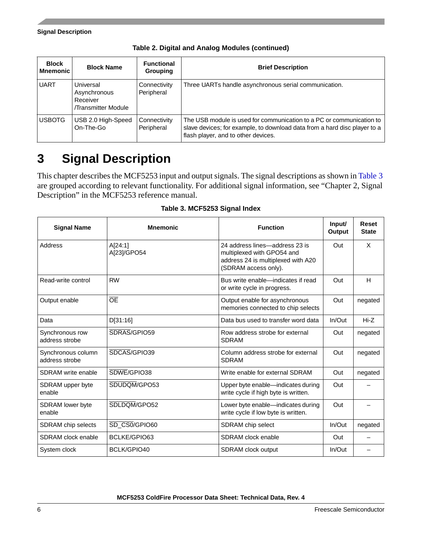| <b>Block</b><br>Mnemonic | <b>Block Name</b>                                            | <b>Functional</b><br>Grouping | <b>Brief Description</b>                                                                                                                                                                 |
|--------------------------|--------------------------------------------------------------|-------------------------------|------------------------------------------------------------------------------------------------------------------------------------------------------------------------------------------|
| <b>UART</b>              | Universal<br>Asynchronous<br>Receiver<br>/Transmitter Module | Connectivity<br>Peripheral    | Three UARTs handle asynchronous serial communication.                                                                                                                                    |
| <b>USBOTG</b>            | USB 2.0 High-Speed<br>On-The-Go                              | Connectivity<br>Peripheral    | The USB module is used for communication to a PC or communication to<br>slave devices; for example, to download data from a hard disc player to a<br>flash player, and to other devices. |

**Table 2. Digital and Analog Modules (continued)**

# <span id="page-5-0"></span>**3 Signal Description**

This chapter describes the MCF5253 input and output signals. The signal descriptions as shown in [Table 3](#page-5-1) are grouped according to relevant functionality. For additional signal information, see "Chapter 2, Signal Description" in the MCF5253 reference manual.

<span id="page-5-1"></span>

| <b>Signal Name</b>                   | <b>Mnemonic</b>        | <b>Function</b>                                                                                                            | Input/<br>Output | Reset<br><b>State</b> |
|--------------------------------------|------------------------|----------------------------------------------------------------------------------------------------------------------------|------------------|-----------------------|
| Address                              | A[24:1]<br>A[23]/GPO54 | 24 address lines-address 23 is<br>multiplexed with GPO54 and<br>address 24 is multiplexed with A20<br>(SDRAM access only). | Out              | X                     |
| Read-write control                   | <b>RW</b>              | Bus write enable—indicates if read<br>or write cycle in progress.                                                          | Out              | H                     |
| Output enable                        | <b>OE</b>              | Output enable for asynchronous<br>memories connected to chip selects                                                       | Out              | negated               |
| Data                                 | D[31:16]               | Data bus used to transfer word data                                                                                        | $In/O$ ut        | $Hi-Z$                |
| Synchronous row<br>address strobe    | SDRAS/GPIO59           | Row address strobe for external<br><b>SDRAM</b>                                                                            | Out              | negated               |
| Synchronous column<br>address strobe | SDCAS/GPIO39           | Column address strobe for external<br><b>SDRAM</b>                                                                         | Out              | negated               |
| SDRAM write enable                   | SDWE/GPIO38            | Write enable for external SDRAM                                                                                            | Out              | negated               |
| SDRAM upper byte<br>enable           | SDUDQM/GPO53           | Upper byte enable—indicates during<br>write cycle if high byte is written.                                                 | Out              |                       |
| <b>SDRAM</b> lower byte<br>enable    | SDLDOM/GPO52           | Lower byte enable-indicates during<br>write cycle if low byte is written.                                                  | Out              |                       |
| SDRAM chip selects                   | SD CS0/GPIO60          | SDRAM chip select                                                                                                          | In/Out           | negated               |
| SDRAM clock enable                   | BCLKE/GPIO63           | SDRAM clock enable                                                                                                         | Out              |                       |
| System clock                         | BCLK/GPIO40            | <b>SDRAM</b> clock output                                                                                                  | $In/O$ ut        |                       |

**Table 3. MCF5253 Signal Index**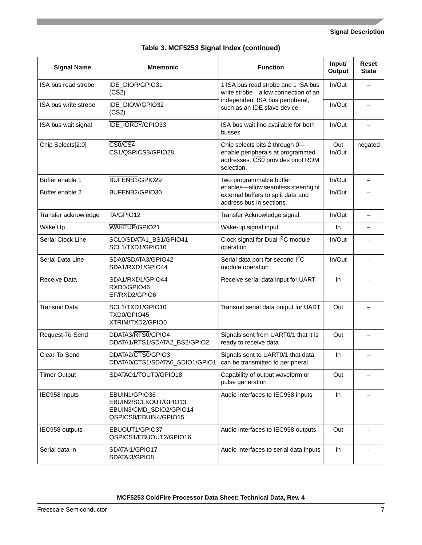| <b>Signal Name</b>   | <b>Mnemonic</b>                                                                                                                                                           | <b>Function</b>                                                                                      | Input/<br>Output | <b>Reset</b><br><b>State</b> |
|----------------------|---------------------------------------------------------------------------------------------------------------------------------------------------------------------------|------------------------------------------------------------------------------------------------------|------------------|------------------------------|
| ISA bus read strobe  | <b>IDE_DIOR/GPIO31</b><br>$(\overline{CS2})$                                                                                                                              | 1 ISA bus read strobe and 1 ISA bus<br>write strobe-allow connection of an                           | In/Out           |                              |
| ISA bus write strobe | <b>IDE DIOW/GPIO32</b><br>$(\overline{CS2})$                                                                                                                              | independent ISA bus peripheral,<br>such as an IDE slave device.                                      | In/Out           |                              |
| ISA bus wait signal  | IDE_IORDY/GPIO33                                                                                                                                                          | ISA bus wait line available for both<br>busses                                                       | In/Out           |                              |
| Chip Selects[2:0]    | $\overline{\text{CS0/CS4}}$<br>Chip selects bits 2 through 0-<br>CS1/QSPICS3/GPIO28<br>enable peripherals at programmed<br>addresses. CS0 provides boot ROM<br>selection. |                                                                                                      | Out<br>In/Out    | negated                      |
| Buffer enable 1      | BUFENB1/GPIO29                                                                                                                                                            | Two programmable buffer                                                                              | In/Out           | $\overline{\phantom{0}}$     |
| Buffer enable 2      | BUFENB2/GPIO30                                                                                                                                                            | enables-allow seamless steering of<br>external buffers to split data and<br>address bus in sections. | In/Out           |                              |
| Transfer acknowledge | TA/GPIO12                                                                                                                                                                 | Transfer Acknowledge signal.                                                                         | In/Out           | $\overline{\phantom{0}}$     |
| Wake Up              | WAKEUP/GPIO21                                                                                                                                                             | Wake-up signal input                                                                                 | In               |                              |
| Serial Clock Line    | SCL0/SDATA1_BS1/GPIO41<br>SCL1/TXD1/GPIO10                                                                                                                                | Clock signal for Dual I <sup>2</sup> C module<br>operation                                           |                  |                              |
| Serial Data Line     | SDA0/SDATA3/GPIO42<br>SDA1/RXD1/GPIO44                                                                                                                                    | Serial data port for second l <sup>2</sup> C<br>module operation                                     | In/Out           | $\overline{\phantom{0}}$     |
| Receive Data         | SDA1/RXD1/GPIO44<br>RXD0/GPIO46<br>EF/RXD2/GPIO6                                                                                                                          | Receive serial data input for UART                                                                   | In.              |                              |
| <b>Transmit Data</b> | SCL1/TXD1/GPIO10<br>TXD0/GPIO45<br>XTRIM/TXD2/GPIO0                                                                                                                       | Transmit serial data output for UART                                                                 | Out              |                              |
| Request-To-Send      | DDATA3/RTS0/GPIO4<br>Signals sent from UART0/1 that it is<br>DDATA1/RTS1/SDATA2_BS2/GPIO2<br>ready to receive data                                                        |                                                                                                      | Out              |                              |
| Clear-To-Send        | DDATA2/CTS0/GPIO3<br>Signals sent to UART0/1 that data<br>DDATA0/CTS1/SDATA0_SDIO1/GPIO1<br>can be transmitted to peripheral                                              |                                                                                                      | In               |                              |
| <b>Timer Output</b>  | SDATAO1/TOUT0/GPIO18                                                                                                                                                      | Capability of output waveform or<br>pulse generation                                                 | Out              |                              |
| IEC958 inputs        | EBUIN1/GPIO36<br>EBUIN2/SCLKOUT/GPIO13<br>EBUIN3/CMD_SDIO2/GPIO14<br>QSPICS0/EBUIN4/GPIO15                                                                                | Audio interfaces to IEC958 inputs                                                                    | In               |                              |
| IEC958 outputs       | EBUOUT1/GPIO37<br>QSPICS1/EBUOUT2/GPIO16                                                                                                                                  | Audio interfaces to IEC958 outputs                                                                   | Out              |                              |
| Serial data in       | SDATAI1/GPIO17<br>SDATAI3/GPIO8                                                                                                                                           | Audio interfaces to serial data inputs                                                               | In               |                              |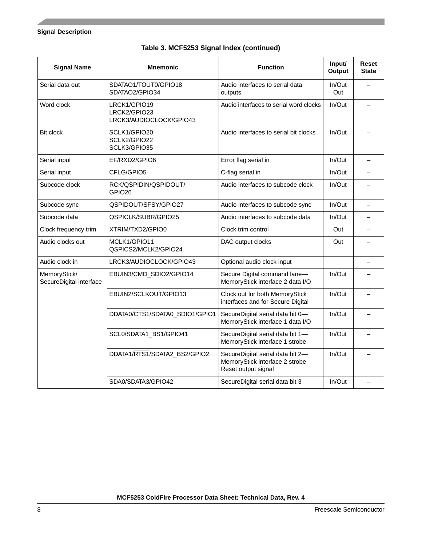| <b>Signal Name</b>                      | <b>Mnemonic</b>                                                                                   | <b>Function</b>                                                                           | Input/<br><b>Output</b> | <b>Reset</b><br><b>State</b> |
|-----------------------------------------|---------------------------------------------------------------------------------------------------|-------------------------------------------------------------------------------------------|-------------------------|------------------------------|
| Serial data out                         | SDATAO1/TOUT0/GPIO18<br>SDATAO2/GPIO34                                                            | Audio interfaces to serial data<br>outputs                                                | In/Out<br>Out           |                              |
| Word clock                              | Audio interfaces to serial word clocks<br>LRCK1/GPIO19<br>LRCK2/GPIO23<br>LRCK3/AUDIOCLOCK/GPIO43 |                                                                                           | In/Out                  |                              |
| <b>Bit clock</b>                        | SCLK1/GPIO20<br>Audio interfaces to serial bit clocks<br>SCLK2/GPIO22<br>SCLK3/GPIO35             |                                                                                           | In/Out                  |                              |
| Serial input                            | EF/RXD2/GPIO6                                                                                     | Error flag serial in                                                                      | In/Out                  | $\overline{\phantom{0}}$     |
| Serial input                            | CFLG/GPIO5                                                                                        | C-flag serial in                                                                          | In/Out                  |                              |
| Subcode clock                           | RCK/QSPIDIN/QSPIDOUT/<br>GPIO26                                                                   | Audio interfaces to subcode clock                                                         | In/Out                  |                              |
| Subcode sync                            | QSPIDOUT/SFSY/GPIO27                                                                              | Audio interfaces to subcode sync                                                          | In/Out                  | $\equiv$                     |
| Subcode data                            | QSPICLK/SUBR/GPIO25                                                                               | Audio interfaces to subcode data                                                          | In/Out                  | $\overline{\phantom{0}}$     |
| Clock frequency trim                    | XTRIM/TXD2/GPIO0                                                                                  | Clock trim control                                                                        | Out                     |                              |
| Audio clocks out                        | MCLK1/GPIO11<br>QSPICS2/MCLK2/GPIO24                                                              | DAC output clocks                                                                         | Out                     |                              |
| Audio clock in                          | LRCK3/AUDIOCLOCK/GPIO43                                                                           | Optional audio clock input                                                                |                         | $\overline{\phantom{0}}$     |
| MemoryStick/<br>SecureDigital interface | EBUIN3/CMD_SDIO2/GPIO14                                                                           | Secure Digital command lane-<br>MemoryStick interface 2 data I/O                          | In/Out                  |                              |
|                                         | EBUIN2/SCLKOUT/GPIO13                                                                             | Clock out for both MemoryStick<br>interfaces and for Secure Digital                       | In/Out                  |                              |
|                                         | DDATA0/CTS1/SDATA0_SDIO1/GPIO1                                                                    | SecureDigital serial data bit 0-<br>MemoryStick interface 1 data I/O                      | In/Out                  |                              |
|                                         | SCL0/SDATA1_BS1/GPIO41                                                                            | SecureDigital serial data bit 1-<br>MemoryStick interface 1 strobe                        | In/Out                  |                              |
|                                         | DDATA1/RTS1/SDATA2_BS2/GPIO2                                                                      | SecureDigital serial data bit 2-<br>MemoryStick interface 2 strobe<br>Reset output signal | In/Out                  |                              |
|                                         | SDA0/SDATA3/GPIO42                                                                                | SecureDigital serial data bit 3                                                           | In/Out                  |                              |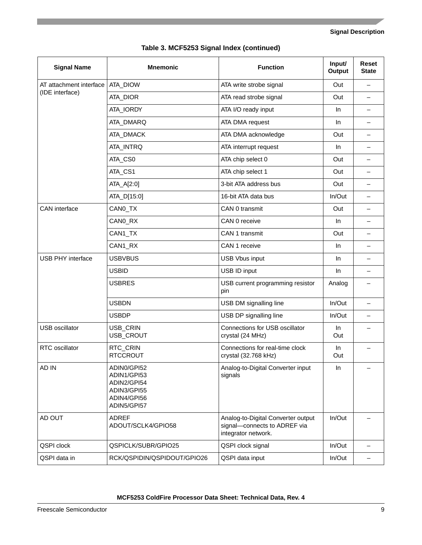|  | Table 3. MCF5253 Signal Index (continued) |  |  |
|--|-------------------------------------------|--|--|
|--|-------------------------------------------|--|--|

| <b>Signal Name</b>       | <b>Mnemonic</b>                                                                        | <b>Function</b>                                                                           | Input/<br>Output | <b>Reset</b><br><b>State</b> |
|--------------------------|----------------------------------------------------------------------------------------|-------------------------------------------------------------------------------------------|------------------|------------------------------|
| AT attachment interface  | ATA_DIOW                                                                               | ATA write strobe signal                                                                   | Out              | $\overline{\phantom{0}}$     |
| (IDE interface)          | ATA_DIOR                                                                               | ATA read strobe signal                                                                    | Out              | $\qquad \qquad -$            |
|                          | ATA_IORDY                                                                              | ATA I/O ready input                                                                       | In.              | $\overline{\phantom{0}}$     |
|                          | ATA_DMARQ                                                                              | ATA DMA request                                                                           | In.              | $\overline{\phantom{0}}$     |
|                          | ATA_DMACK                                                                              | ATA DMA acknowledge                                                                       | Out              | $\overline{\phantom{0}}$     |
|                          | ATA_INTRQ                                                                              | ATA interrupt request                                                                     | <b>In</b>        | $\overline{\phantom{0}}$     |
|                          | ATA_CS0                                                                                | ATA chip select 0                                                                         | Out              | $\overline{\phantom{0}}$     |
|                          | ATA_CS1                                                                                | ATA chip select 1                                                                         | Out              | $\overline{\phantom{0}}$     |
|                          | ATA_A[2:0]                                                                             | 3-bit ATA address bus                                                                     | Out              | $\overline{\phantom{0}}$     |
|                          | ATA_D[15:0]                                                                            | 16-bit ATA data bus                                                                       | In/Out           | $\overline{\phantom{0}}$     |
| CAN interface            | CANO_TX                                                                                | CAN 0 transmit                                                                            | Out              | $\overline{\phantom{0}}$     |
|                          | CANO_RX                                                                                | CAN 0 receive                                                                             | <b>In</b>        | $\overline{\phantom{0}}$     |
|                          | CAN1_TX                                                                                | CAN 1 transmit                                                                            | Out              | $\overline{\phantom{0}}$     |
|                          | CAN1_RX                                                                                | CAN 1 receive                                                                             | <b>In</b>        | $\overline{\phantom{0}}$     |
| <b>USB PHY interface</b> | <b>USBVBUS</b>                                                                         | <b>USB Vbus input</b>                                                                     |                  | $\overline{\phantom{0}}$     |
|                          | <b>USBID</b>                                                                           | USB ID input                                                                              | <b>In</b>        | —                            |
|                          | <b>USBRES</b>                                                                          | USB current programming resistor<br>pin                                                   | Analog           |                              |
|                          | <b>USBDN</b>                                                                           | USB DM signalling line                                                                    | In/Out           | $\overline{\phantom{0}}$     |
|                          | <b>USBDP</b>                                                                           | USB DP signalling line                                                                    | In/Out           | $\overline{\phantom{0}}$     |
| <b>USB</b> oscillator    | USB_CRIN<br>USB_CROUT                                                                  | Connections for USB oscillator<br>crystal (24 MHz)                                        | In.<br>Out       |                              |
| RTC oscillator           | RTC_CRIN<br><b>RTCCROUT</b>                                                            | Connections for real-time clock<br>crystal (32.768 kHz)                                   | In<br>Out        |                              |
| AD IN                    | ADIN0/GPI52<br>ADIN1/GPI53<br>ADIN2/GPI54<br>ADIN3/GPI55<br>ADIN4/GPI56<br>ADIN5/GPI57 | Analog-to-Digital Converter input<br>signals                                              | $\ln$            |                              |
| AD OUT                   | <b>ADREF</b><br>ADOUT/SCLK4/GPIO58                                                     | Analog-to-Digital Converter output<br>signal-connects to ADREF via<br>integrator network. | In/Out           |                              |
| QSPI clock               | QSPICLK/SUBR/GPIO25                                                                    | QSPI clock signal                                                                         | In/Out           |                              |
| QSPI data in             | RCK/QSPIDIN/QSPIDOUT/GPIO26                                                            | QSPI data input                                                                           | In/Out           |                              |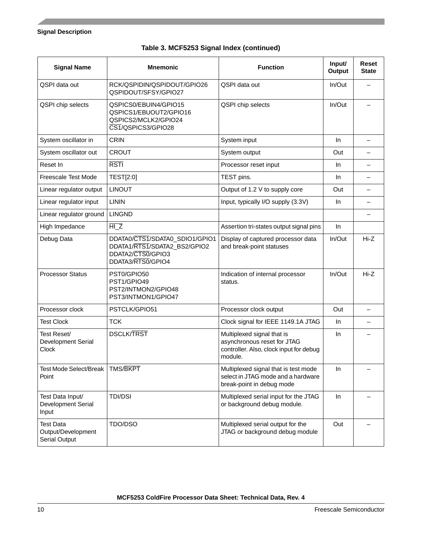| <b>Signal Name</b>                                             | <b>Mnemonic</b>                                                                                          | <b>Function</b>                                                                                                 | Input/<br>Output | Reset<br><b>State</b> |
|----------------------------------------------------------------|----------------------------------------------------------------------------------------------------------|-----------------------------------------------------------------------------------------------------------------|------------------|-----------------------|
| QSPI data out                                                  | RCK/QSPIDIN/QSPIDOUT/GPIO26<br>QSPIDOUT/SFSY/GPIO27                                                      | QSPI data out                                                                                                   | In/Out           |                       |
| QSPI chip selects                                              | QSPICS0/EBUIN4/GPIO15<br>QSPICS1/EBUOUT2/GPIO16<br>QSPICS2/MCLK2/GPIO24<br>CS1/QSPICS3/GPIO28            | QSPI chip selects                                                                                               | $In/O$ ut        |                       |
| System oscillator in                                           | <b>CRIN</b>                                                                                              | System input                                                                                                    | In.              |                       |
| System oscillator out                                          | <b>CROUT</b>                                                                                             | System output                                                                                                   | Out              |                       |
| Reset In                                                       | <b>RSTI</b>                                                                                              | Processor reset input                                                                                           | In.              |                       |
| <b>Freescale Test Mode</b>                                     | TEST[2:0]                                                                                                | TEST pins.                                                                                                      | In.              |                       |
| Linear regulator output                                        | <b>LINOUT</b>                                                                                            | Output of 1.2 V to supply core                                                                                  | Out              |                       |
| Linear regulator input                                         | <b>LININ</b>                                                                                             | Input, typically I/O supply (3.3V)                                                                              | In.              |                       |
| Linear regulator ground                                        | <b>LINGND</b>                                                                                            |                                                                                                                 |                  |                       |
| High Impedance                                                 | $\overline{HIZ}$                                                                                         | Assertion tri-states output signal pins                                                                         | In.              |                       |
| Debug Data                                                     | DDATA0/CTS1/SDATA0_SDIO1/GPIO1<br>DDATA1/RTS1/SDATA2_BS2/GPIO2<br>DDATA2/CTS0/GPIO3<br>DDATA3/RTS0/GPIO4 | Display of captured processor data<br>and break-point statuses                                                  | In/Out           | Hi-Z                  |
| <b>Processor Status</b>                                        | PST0/GPIO50<br>PST1/GPIO49<br>PST2/INTMON2/GPIO48<br>PST3/INTMON1/GPIO47                                 | Indication of internal processor<br>status.                                                                     | $In/O$ ut        | $Hi-Z$                |
| Processor clock                                                | PSTCLK/GPIO51                                                                                            | Processor clock output                                                                                          | Out              |                       |
| Test Clock                                                     | <b>TCK</b>                                                                                               | Clock signal for IEEE 1149.1A JTAG                                                                              | In.              |                       |
| Test Reset/<br>Development Serial<br><b>Clock</b>              | <b>DSCLK/TRST</b>                                                                                        | Multiplexed signal that is<br>asynchronous reset for JTAG<br>controller. Also, clock input for debug<br>module. | In.              |                       |
| Test Mode Select/Break<br>Point                                | <b>TMS/BKPT</b>                                                                                          | Multiplexed signal that is test mode<br>select in JTAG mode and a hardware<br>break-point in debug mode         | In               |                       |
| Test Data Input/<br>Development Serial<br>Input                | <b>TDI/DSI</b>                                                                                           | Multiplexed serial input for the JTAG<br>or background debug module.                                            | In               |                       |
| <b>Test Data</b><br>Output/Development<br><b>Serial Output</b> | TDO/DSO                                                                                                  | Multiplexed serial output for the<br>JTAG or background debug module                                            | Out              |                       |

### **Table 3. MCF5253 Signal Index (continued)**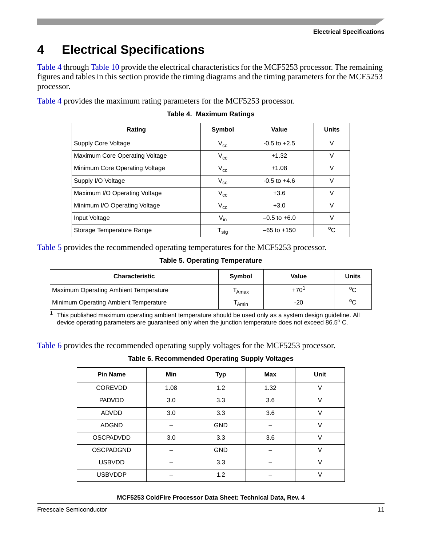<span id="page-10-0"></span>[Table 4](#page-10-1) through [Table 10](#page-12-0) provide the electrical characteristics for the MCF5253 processor. The remaining figures and tables in this section provide the timing diagrams and the timing parameters for the MCF5253 processor.

<span id="page-10-1"></span>[Table 4](#page-10-1) provides the maximum rating parameters for the MCF5253 processor.

| Rating                         | Symbol                      | Value            | <b>Units</b> |
|--------------------------------|-----------------------------|------------------|--------------|
| Supply Core Voltage            | $V_{cc}$                    | $-0.5$ to $+2.5$ | V            |
| Maximum Core Operating Voltage | $V_{cc}$                    | $+1.32$          | V            |
| Minimum Core Operating Voltage | $V_{cc}$                    | $+1.08$          | V            |
| Supply I/O Voltage             | $V_{cc}$                    | $-0.5$ to $+4.6$ | $\vee$       |
| Maximum I/O Operating Voltage  | $V_{cc}$                    | $+3.6$           | $\vee$       |
| Minimum I/O Operating Voltage  | $V_{cc}$                    | $+3.0$           | $\vee$       |
| Input Voltage                  | $V_{in}$                    | $-0.5$ to $+6.0$ | $\vee$       |
| Storage Temperature Range      | $\mathsf{T}_{\mathsf{stg}}$ | $-65$ to $+150$  | °C           |

#### **Table 4. Maximum Ratings**

<span id="page-10-2"></span>[Table 5](#page-10-2) provides the recommended operating temperatures for the MCF5253 processor.

#### **Table 5. Operating Temperature**

| <b>Characteristic</b>                 | Symbol            | Value     | <b>Units</b> |
|---------------------------------------|-------------------|-----------|--------------|
| Maximum Operating Ambient Temperature | <sup>l</sup> Amax | $+70^{1}$ | °C           |
| Minimum Operating Ambient Temperature | <sup>I</sup> Amin | -20       | °C           |

 $1$  This published maximum operating ambient temperature should be used only as a system design guideline. All device operating parameters are guaranteed only when the junction temperature does not exceed 86.5° C.

<span id="page-10-3"></span>[Table 6](#page-10-3) provides the recommended operating supply voltages for the MCF5253 processor.

**Table 6. Recommended Operating Supply Voltages**

| <b>Pin Name</b>  | <b>Min</b> | <b>Typ</b> | Max  | <b>Unit</b> |
|------------------|------------|------------|------|-------------|
| <b>COREVDD</b>   | 1.08       | 1.2        | 1.32 | $\vee$      |
| <b>PADVDD</b>    | 3.0        | 3.3        | 3.6  | $\vee$      |
| <b>ADVDD</b>     | 3.0        | 3.3        | 3.6  | $\vee$      |
| <b>ADGND</b>     |            | <b>GND</b> |      | V           |
| <b>OSCPADVDD</b> | 3.0        | 3.3        | 3.6  | $\vee$      |
| <b>OSCPADGND</b> |            | <b>GND</b> |      | $\vee$      |
| <b>USBVDD</b>    |            | 3.3        |      | $\vee$      |
| <b>USBVDDP</b>   |            | 1.2        |      | $\vee$      |
|                  |            |            |      |             |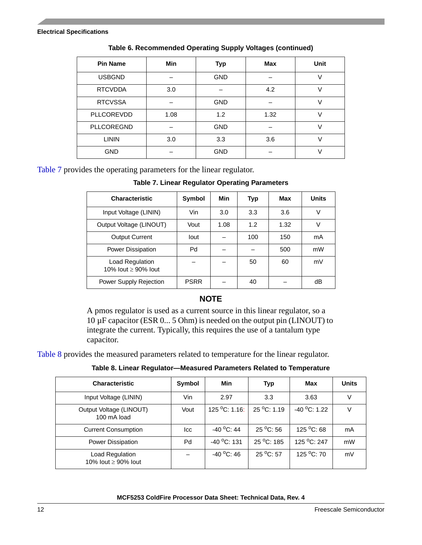| <b>Pin Name</b>   | <b>Min</b> | <b>Typ</b> | Max  | Unit |
|-------------------|------------|------------|------|------|
| <b>USBGND</b>     |            | <b>GND</b> |      |      |
| <b>RTCVDDA</b>    | 3.0        |            | 4.2  |      |
| <b>RTCVSSA</b>    |            | <b>GND</b> |      |      |
| PLLCOREVDD        | 1.08       | 1.2        | 1.32 |      |
| <b>PLLCOREGND</b> |            | <b>GND</b> |      |      |
| <b>LININ</b>      | 3.0        | 3.3        | 3.6  |      |
| <b>GND</b>        |            | <b>GND</b> |      |      |

**Table 6. Recommended Operating Supply Voltages (continued)**

<span id="page-11-0"></span>[Table 7](#page-11-0) provides the operating parameters for the linear regulator.

**Table 7. Linear Regulator Operating Parameters**

| <b>Characteristic</b>                  | <b>Symbol</b> | Min  | Typ | Max  | <b>Units</b> |
|----------------------------------------|---------------|------|-----|------|--------------|
| Input Voltage (LININ)                  | Vin           | 3.0  | 3.3 | 3.6  | V            |
| Output Voltage (LINOUT)                | Vout          | 1.08 | 1.2 | 1.32 | V            |
| <b>Output Current</b>                  | lout          |      | 100 | 150  | mA           |
| Power Dissipation                      | Pd            |      |     | 500  | mW           |
| Load Regulation<br>10% lout ≥ 90% lout |               |      | 50  | 60   | mV           |
| Power Supply Rejection                 | <b>PSRR</b>   |      | 40  |      | dB           |

#### **NOTE**

A pmos regulator is used as a current source in this linear regulator, so a 10 µF capacitor (ESR 0... 5 Ohm) is needed on the output pin (LINOUT) to integrate the current. Typically, this requires the use of a tantalum type capacitor.

<span id="page-11-1"></span>[Table 8](#page-11-1) provides the measured parameters related to temperature for the linear regulator.

**Table 8. Linear Regulator—Measured Parameters Related to Temperature**

| <b>Characteristic</b>                       | Symbol | Min                          | <b>Typ</b>         | Max                    | <b>Units</b> |
|---------------------------------------------|--------|------------------------------|--------------------|------------------------|--------------|
| Input Voltage (LININ)                       | Vin    | 2.97                         | 3.3                | 3.63                   |              |
| Output Voltage (LINOUT)<br>100 mA load      | Vout   | $125\,^{\circ}$ C: 1.16:     | 25 °C: 1.19        | $-40$ °C: 1.22         |              |
| <b>Current Consumption</b>                  | lcc    | $-40\,^{\circ}\text{C}$ : 44 | $25^{\circ}$ C: 56 | 125 $^{\circ}$ C: 68   | mA           |
| Power Dissipation                           | Pd     | $-40$ °C: 131                | 25 °C: 185         | $125\,^{\circ}$ C: 247 | mW           |
| Load Regulation<br>10% lout $\geq$ 90% lout |        | $-40$ °C: 46                 | 25 °C: 57          | 125 $^{\circ}$ C: 70   | mV           |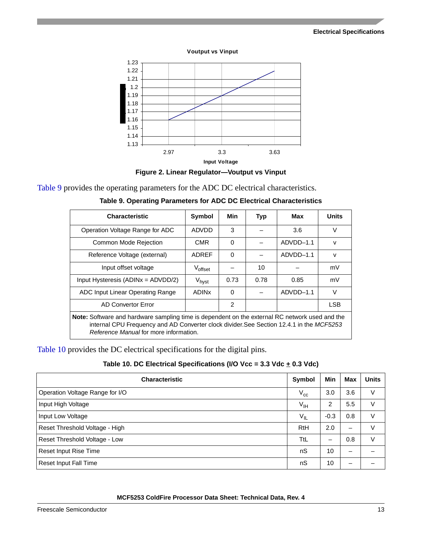

**Voutput vs Vinput**

**Figure 2. Linear Regulator—Voutput vs Vinput**

<span id="page-12-1"></span>[Table 9](#page-12-1) provides the operating parameters for the ADC DC electrical characteristics.

| <b>Characteristic</b>                                                                                                                                                                                                                      | Symbol            | Min      | Typ  | Max         | <b>Units</b> |  |
|--------------------------------------------------------------------------------------------------------------------------------------------------------------------------------------------------------------------------------------------|-------------------|----------|------|-------------|--------------|--|
| Operation Voltage Range for ADC                                                                                                                                                                                                            | ADVDD             | 3        |      | 3.6         | v            |  |
| <b>Common Mode Rejection</b>                                                                                                                                                                                                               | <b>CMR</b>        | $\Omega$ |      | ADVDD-1.1   | $\vee$       |  |
| Reference Voltage (external)                                                                                                                                                                                                               | <b>ADREF</b>      | $\Omega$ |      | $ADVDD-1.1$ | $\mathsf{v}$ |  |
| Input offset voltage                                                                                                                                                                                                                       | Voffset           |          | 10   |             | mV           |  |
| Input Hysteresis (ADINx = ADVDD/2)                                                                                                                                                                                                         | V <sub>hyst</sub> | 0.73     | 0.78 | 0.85        | mV           |  |
| ADC Input Linear Operating Range                                                                                                                                                                                                           | <b>ADINX</b>      | $\Omega$ |      | ADVDD-1.1   | $\vee$       |  |
| $\mathfrak{p}$<br><b>LSB</b><br>AD Convertor Error                                                                                                                                                                                         |                   |          |      |             |              |  |
| <b>Note:</b> Software and hardware sampling time is dependent on the external RC network used and the<br>internal CPU Frequency and AD Converter clock divider.See Section 12.4.1 in the MCF5253<br>Reference Manual for more information. |                   |          |      |             |              |  |

| Table 9. Operating Parameters for ADC DC Electrical Characteristics |  |  |  |  |
|---------------------------------------------------------------------|--|--|--|--|
|---------------------------------------------------------------------|--|--|--|--|

[Table 10](#page-12-0) provides the DC electrical specifications for the digital pins.

<span id="page-12-0"></span>

| <b>Characteristic</b>           | Symbol                     | Min            | Max | <b>Units</b> |
|---------------------------------|----------------------------|----------------|-----|--------------|
| Operation Voltage Range for I/O | $V_{cc}$                   | 3.0            | 3.6 | V            |
| Input High Voltage              | $V_{\text{IH}}$            | $\overline{c}$ | 5.5 | V            |
| Input Low Voltage               | $\mathsf{V}_{\mathsf{IL}}$ | $-0.3$         | 0.8 | V            |
| Reset Threshold Voltage - High  | RtH                        | 2.0            | -   | V            |
| Reset Threshold Voltage - Low   | TtL                        | -              | 0.8 | V            |
| Reset Input Rise Time           | nS                         | 10             |     |              |
| <b>Reset Input Fall Time</b>    | nS                         | 10             |     |              |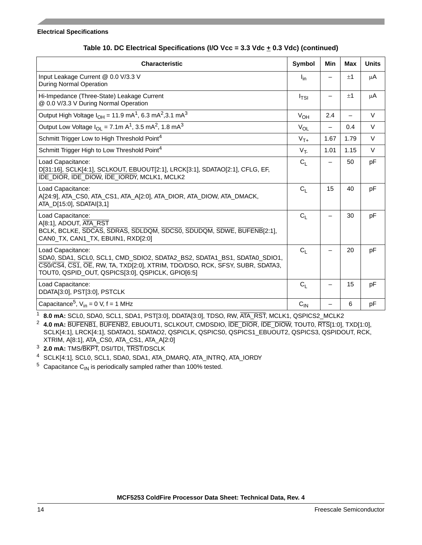| <b>Characteristic</b>                                                                                                                                                                                                              | Symbol           | Min  | Max  | <b>Units</b> |
|------------------------------------------------------------------------------------------------------------------------------------------------------------------------------------------------------------------------------------|------------------|------|------|--------------|
| Input Leakage Current @ 0.0 V/3.3 V<br><b>During Normal Operation</b>                                                                                                                                                              | $I_{in}$         |      | ±1   | μA           |
| Hi-Impedance (Three-State) Leakage Current<br>@ 0.0 V/3.3 V During Normal Operation                                                                                                                                                | I <sub>TSI</sub> |      | $+1$ | μA           |
| Output High Voltage $I_{OH}$ = 11.9 mA <sup>1</sup> , 6.3 mA <sup>2</sup> , 3.1 mA <sup>3</sup>                                                                                                                                    | $V_{OH}$         | 2.4  |      | $\vee$       |
| Output Low Voltage $I_{OL} = 7.1$ m A <sup>1</sup> , 3.5 mA <sup>2</sup> , 1.8 mA <sup>3</sup>                                                                                                                                     | $V_{OL}$         | —    | 0.4  | $\vee$       |
| Schmitt Trigger Low to High Threshold Point <sup>4</sup>                                                                                                                                                                           | $V_{T+}$         | 1.67 | 1.79 | $\vee$       |
| Schmitt Trigger High to Low Threshold Point <sup>4</sup>                                                                                                                                                                           | $V_T$            | 1.01 | 1.15 | $\vee$       |
| Load Capacitance:<br>D[31:16], SCLK[4:1], SCLKOUT, EBUOUT[2:1], LRCK[3:1], SDATAO[2:1], CFLG, EF,<br>IDE DIOR, IDE DIOW, IDE IORDY, MCLK1, MCLK2                                                                                   | C <sub>1</sub>   |      | 50   | рF           |
| Load Capacitance:<br>A[24:9], ATA_CS0, ATA_CS1, ATA_A[2:0], ATA_DIOR, ATA_DIOW, ATA_DMACK,<br>ATA_D[15:0], SDATAI[3,1]                                                                                                             | C <sub>1</sub>   | 15   | 40   | pF           |
| Load Capacitance:<br>A[8:1], ADOUT, ATA_RST<br>BCLK, BCLKE, SDCAS, SDRAS, SDLDQM, SDCS0, SDUDQM, SDWE, BUFENB[2:1],<br>CANO_TX, CAN1_TX, EBUIN1, RXD[2:0]                                                                          | C <sub>1</sub>   |      | 30   | pF           |
| Load Capacitance:<br>SDA0, SDA1, SCL0, SCL1, CMD_SDIO2, SDATA2_BS2, SDATA1_BS1, SDATA0_SDIO1,<br>CSO/CS4, CS1, OE, RW, TA, TXD[2:0], XTRIM, TDO/DSO, RCK, SFSY, SUBR, SDATA3,<br>TOUT0, QSPID_OUT, QSPICS[3:0], QSPICLK, GPIO[6:5] | C <sub>1</sub>   |      | 20   | pF           |
| Load Capacitance:<br>DDATA[3:0], PST[3:0], PSTCLK                                                                                                                                                                                  | C <sub>1</sub>   |      | 15   | pF           |
| Capacitance <sup>5</sup> , $V_{in}$ = 0 V, f = 1 MHz                                                                                                                                                                               | $C_{IN}$         |      | 6    | pF           |

#### Table 10. DC Electrical Specifications (I/O Vcc = 3.3 Vdc  $\pm$  0.3 Vdc) (continued)

<span id="page-13-0"></span><sup>1</sup> **8.0 mA:** SCL0, SDA0, SCL1, SDA1, PST[3:0], DDATA[3:0], TDSO, RW, ATA\_RST, MCLK1, QSPICS2\_MCLK2

<span id="page-13-1"></span><sup>2</sup> **4.0 mA:** BUFENB1, BUFENB2, EBUOUT1, SCLKOUT, CMDSDIO, IDE\_DIOR, IDE\_DIOW, TOUT0, RTS[1:0], TXD[1:0], SCLK[4:1], LRCK[4:1], SDATAO1, SDATAO2, QSPICLK, QSPICS0, QSPICS1\_EBUOUT2, QSPICS3, QSPIDOUT, RCK, XTRIM, A[8:1], ATA\_CS0, ATA\_CS1, ATA\_A[2:0]

<span id="page-13-2"></span><sup>3</sup> **2.0 mA:** TMS/BKPT, DSI/TDI, TRST/DSCLK

<span id="page-13-3"></span><sup>4</sup> SCLK[4:1], SCL0, SCL1, SDA0, SDA1, ATA\_DMARQ, ATA\_INTRQ, ATA\_IORDY

 $5$  Capacitance C<sub>IN</sub> is periodically sampled rather than 100% tested.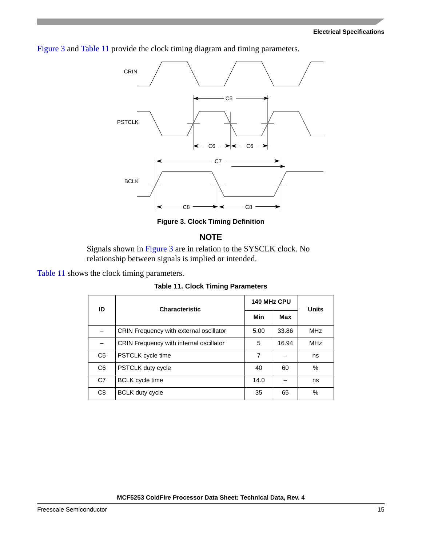[Figure 3](#page-14-0) and [Table 11](#page-14-1) provide the clock timing diagram and timing parameters.



**Figure 3. Clock Timing Definition**

#### **NOTE**

Signals shown in [Figure 3](#page-14-0) are in relation to the SYSCLK clock. No relationship between signals is implied or intended.

<span id="page-14-1"></span><span id="page-14-0"></span>[Table 11](#page-14-1) shows the clock timing parameters.

**Table 11. Clock Timing Parameters**

| ID             | <b>Characteristic</b>                          | 140 MHz CPU | <b>Units</b> |            |
|----------------|------------------------------------------------|-------------|--------------|------------|
|                |                                                | Min         |              |            |
|                | <b>CRIN Frequency with external oscillator</b> | 5.00        | 33.86        | <b>MHz</b> |
|                | CRIN Frequency with internal oscillator        | 5           | 16.94        | <b>MHz</b> |
| C <sub>5</sub> | PSTCLK cycle time                              | 7           |              | ns         |
| C <sub>6</sub> | <b>PSTCLK duty cycle</b>                       | 40          | 60           | $\%$       |
| C <sub>7</sub> | <b>BCLK</b> cycle time                         | 14.0        |              | ns         |
| C <sub>8</sub> | <b>BCLK</b> duty cycle                         | 35          | 65           | $\%$       |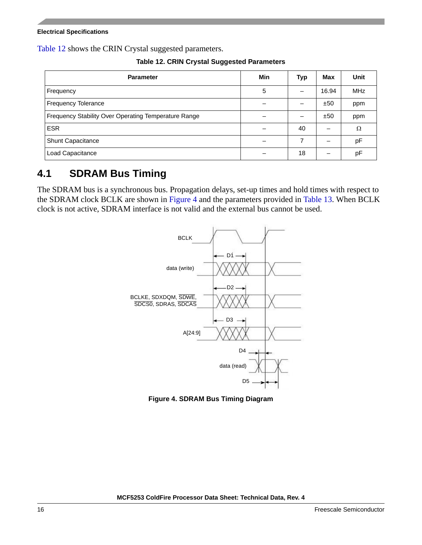<span id="page-15-2"></span>[Table 12](#page-15-2) shows the CRIN Crystal suggested parameters.

**Table 12. CRIN Crystal Suggested Parameters**

| <b>Parameter</b>                                     | Min | <b>Typ</b> | Max   | Unit       |
|------------------------------------------------------|-----|------------|-------|------------|
| Frequency                                            | 5   |            | 16.94 | <b>MHz</b> |
| <b>Frequency Tolerance</b>                           |     |            | ±50   | ppm        |
| Frequency Stability Over Operating Temperature Range |     |            | ±50   | ppm        |
| <b>ESR</b>                                           |     | 40         |       | Ω          |
| Shunt Capacitance                                    |     | 7          |       | pF         |
| Load Capacitance                                     |     | 18         |       | pF         |

### <span id="page-15-0"></span>**4.1 SDRAM Bus Timing**

The SDRAM bus is a synchronous bus. Propagation delays, set-up times and hold times with respect to the SDRAM clock BCLK are shown in [Figure 4](#page-15-1) and the parameters provided in [Table 13.](#page-16-3) When BCLK clock is not active, SDRAM interface is not valid and the external bus cannot be used.



<span id="page-15-1"></span>**Figure 4. SDRAM Bus Timing Diagram**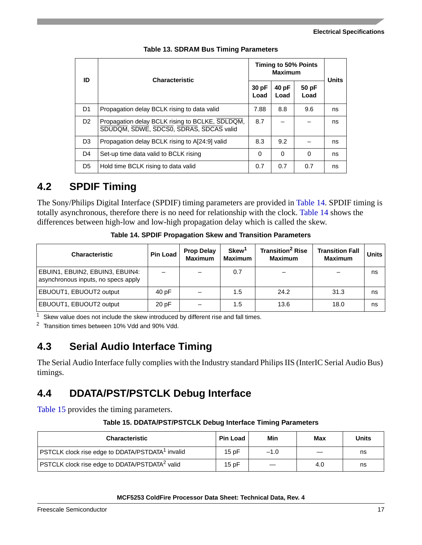<span id="page-16-3"></span>

| ID             | <b>Characteristic</b>                                                                      |               | <b>Maximum</b> | Timing to 50% Points | <b>Units</b> |
|----------------|--------------------------------------------------------------------------------------------|---------------|----------------|----------------------|--------------|
|                |                                                                                            | 30 pF<br>Load | 40 pF<br>Load  | 50 pF<br>Load        |              |
| D <sub>1</sub> | Propagation delay BCLK rising to data valid                                                | 7.88          | 8.8            | 9.6                  | ns           |
| D <sub>2</sub> | Propagation delay BCLK rising to BCLKE, SDLDQM,<br>SDUDQM, SDWE, SDCS0, SDRAS, SDCAS valid | 8.7           |                |                      | ns           |
| D <sub>3</sub> | Propagation delay BCLK rising to A[24:9] valid                                             | 8.3           | 9.2            |                      | ns           |
| D <sub>4</sub> | Set-up time data valid to BCLK rising                                                      | 0             | 0              | $\Omega$             | ns           |
| D <sub>5</sub> | Hold time BCLK rising to data valid                                                        | 0.7           | 0.7            | 0.7                  | ns           |

#### **Table 13. SDRAM Bus Timing Parameters**

### <span id="page-16-0"></span>**4.2 SPDIF Timing**

The Sony/Philips Digital Interface (SPDIF) timing parameters are provided in [Table 14](#page-16-4). SPDIF timing is totally asynchronous, therefore there is no need for relationship with the clock. [Table 14](#page-16-4) shows the differences between high-low and low-high propagation delay which is called the skew.

<span id="page-16-4"></span>

| <b>Characteristic</b>                                                  | <b>Pin Load</b> | <b>Prop Delay</b><br><b>Maximum</b> | Skew <sup>1</sup><br><b>Maximum</b> | <b>Transition<sup>2</sup> Rise</b><br><b>Maximum</b> | <b>Transition Fall</b><br><b>Maximum</b> | <b>Units</b> |
|------------------------------------------------------------------------|-----------------|-------------------------------------|-------------------------------------|------------------------------------------------------|------------------------------------------|--------------|
| EBUIN1, EBUIN2, EBUIN3, EBUIN4:<br>asynchronous inputs, no specs apply |                 |                                     | 0.7                                 |                                                      |                                          | ns           |
| EBUOUT1, EBUOUT2 output                                                | 40 pF           |                                     | 1.5                                 | 24.2                                                 | 31.3                                     | ns           |
| EBUOUT1, EBUOUT2 output                                                | 20pF            |                                     | 1.5                                 | 13.6                                                 | 18.0                                     | ns           |

**Table 14. SPDIF Propagation Skew and Transition Parameters**

 $1$  Skew value does not include the skew introduced by different rise and fall times.

<sup>2</sup> Transition times between 10% Vdd and 90% Vdd.

### <span id="page-16-1"></span>**4.3 Serial Audio Interface Timing**

The Serial Audio Interface fully complies with the Industry standard Philips IIS (InterIC Serial Audio Bus) timings.

### <span id="page-16-2"></span>**4.4 DDATA/PST/PSTCLK Debug Interface**

[Table 15](#page-16-5) provides the timing parameters.

#### **Table 15. DDATA/PST/PSTCLK Debug Interface Timing Parameters**

<span id="page-16-5"></span>

| <b>Characteristic</b>                                             | <b>Pin Load</b> | Min    | Max | <b>Units</b> |
|-------------------------------------------------------------------|-----------------|--------|-----|--------------|
| PSTCLK clock rise edge to DDATA/PSTDATA <sup>1</sup> invalid      | 15 $pF$         | $-1.0$ |     | ns           |
| <b>PSTCLK</b> clock rise edge to DDATA/PSTDATA <sup>2</sup> valid | 15pF            |        | 4.0 | ns           |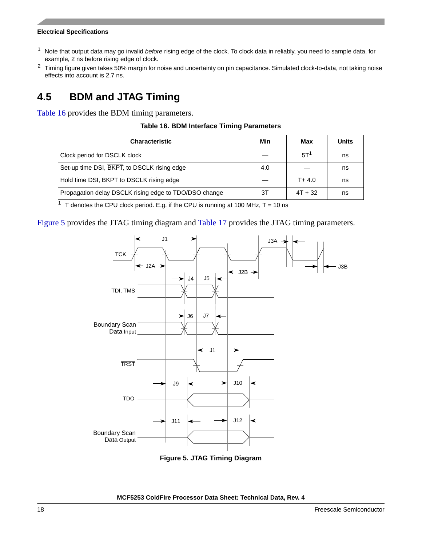- <sup>1</sup> Note that output data may go invalid *before* rising edge of the clock. To clock data in reliably, you need to sample data, for example, 2 ns before rising edge of clock.
- <sup>2</sup> Timing figure given takes 50% margin for noise and uncertainty on pin capacitance. Simulated clock-to-data, not taking noise effects into account is 2.7 ns.

## <span id="page-17-0"></span>**4.5 BDM and JTAG Timing**

<span id="page-17-1"></span>[Table 16](#page-17-1) provides the BDM timing parameters.

#### **Table 16. BDM Interface Timing Parameters**

| <b>Characteristic</b>                                 | Min | Max             | Units |
|-------------------------------------------------------|-----|-----------------|-------|
| Clock period for DSCLK clock                          |     | 5T <sup>1</sup> | ns    |
| Set-up time DSI, BKPT, to DSCLK rising edge           | 4.0 |                 | ns    |
| Hold time DSI, BKPT to DSCLK rising edge              |     | $T + 4.0$       | ns    |
| Propagation delay DSCLK rising edge to TDO/DSO change | ЗТ  | $4T + 32$       | ns    |

<sup>1</sup> T denotes the CPU clock period. E.g. if the CPU is running at 100 MHz,  $T = 10$  ns

[Figure 5](#page-17-2) provides the JTAG timing diagram and [Table 17](#page-18-2) provides the JTAG timing parameters.



<span id="page-17-2"></span>**Figure 5. JTAG Timing Diagram**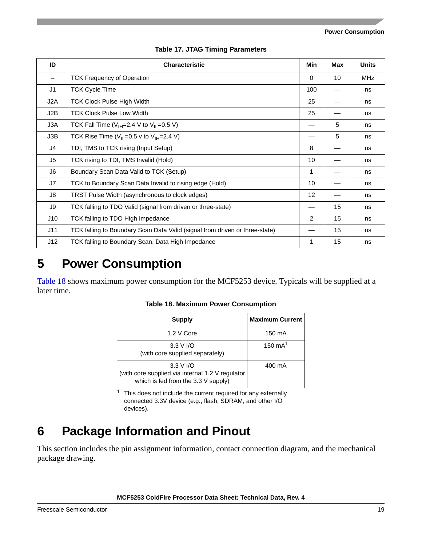**Power Consumption**

<span id="page-18-2"></span>

| ID  | <b>Characteristic</b>                                                       | Min      | Max | <b>Units</b> |
|-----|-----------------------------------------------------------------------------|----------|-----|--------------|
| —   | <b>TCK Frequency of Operation</b>                                           | $\Omega$ | 10  | <b>MHz</b>   |
| J1  | <b>TCK Cycle Time</b>                                                       | 100      |     | ns           |
| J2A | <b>TCK Clock Pulse High Width</b>                                           | 25       |     | ns           |
| J2B | <b>TCK Clock Pulse Low Width</b>                                            | 25       |     | ns           |
| J3A | TCK Fall Time ( $V_{\text{IH}}=2.4$ V to $V_{\text{IL}}=0.5$ V)             |          | 5   | ns           |
| J3B | TCK Rise Time ( $V_{IL}$ =0.5 v to $V_{IH}$ =2.4 V)                         |          | 5   | ns           |
| J4  | TDI, TMS to TCK rising (Input Setup)                                        | 8        |     | ns           |
| J5  | TCK rising to TDI, TMS Invalid (Hold)                                       | 10       |     | ns           |
| J6  | Boundary Scan Data Valid to TCK (Setup)                                     | 1        |     | ns           |
| J7  | TCK to Boundary Scan Data Invalid to rising edge (Hold)                     | 10       |     | ns           |
| J8  | TRST Pulse Width (asynchronous to clock edges)                              | 12       |     | ns           |
| J9  | TCK falling to TDO Valid (signal from driven or three-state)                |          | 15  | ns           |
| J10 | TCK falling to TDO High Impedance                                           | 2        | 15  | ns           |
| J11 | TCK falling to Boundary Scan Data Valid (signal from driven or three-state) |          | 15  | ns           |
| J12 | TCK falling to Boundary Scan. Data High Impedance                           | 1        | 15  | ns           |

#### **Table 17. JTAG Timing Parameters**

# <span id="page-18-0"></span>**5 Power Consumption**

<span id="page-18-3"></span>[Table 18](#page-18-3) shows maximum power consumption for the MCF5253 device. Typicals will be supplied at a later time.

|  |  |  | <b>Table 18. Maximum Power Consumption</b> |
|--|--|--|--------------------------------------------|
|--|--|--|--------------------------------------------|

| <b>Supply</b>                                                                                                    | <b>Maximum Current</b> |
|------------------------------------------------------------------------------------------------------------------|------------------------|
| 1.2 V Core                                                                                                       | 150 mA                 |
| $3.3 V$ I/O<br>(with core supplied separately)                                                                   | 150 $mA1$              |
| $3.3 V$ I/O<br>(with core supplied via internal 1.2 V regulator<br>which is fed from the $3.3 \text{ V}$ supply) | 400 mA                 |

 $1$  This does not include the current required for any externally connected 3.3V device (e.g., flash, SDRAM, and other I/O devices).

# <span id="page-18-1"></span>**6 Package Information and Pinout**

This section includes the pin assignment information, contact connection diagram, and the mechanical package drawing.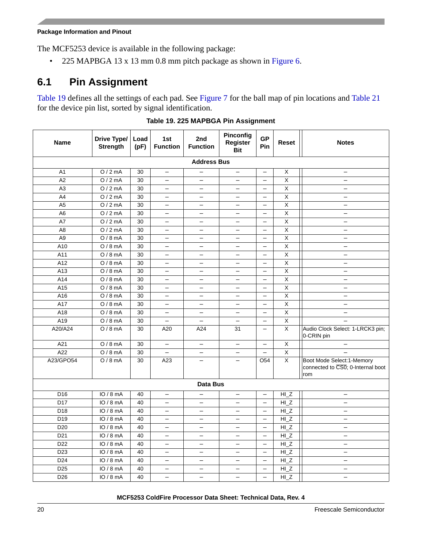The MCF5253 device is available in the following package:

• 225 MAPBGA 13 x 13 mm 0.8 mm pitch package as shown in [Figure 6.](#page-25-1)

### <span id="page-19-0"></span>**6.1 Pin Assignment**

[Table 19](#page-19-1) defines all the settings of each pad. See [Figure 7](#page-26-0) for the ball map of pin locations and [Table 21](#page-27-0) for the device pin list, sorted by signal identification.

<span id="page-19-1"></span>

| <b>Name</b>     | Drive Type/<br><b>Strength</b> | Load<br>(pF) | 1st<br><b>Function</b>   | 2nd<br><b>Function</b>   | Pinconfig<br>Register<br><b>Bit</b> | <b>GP</b><br>Pin         | Reset          | <b>Notes</b>                                                           |  |
|-----------------|--------------------------------|--------------|--------------------------|--------------------------|-------------------------------------|--------------------------|----------------|------------------------------------------------------------------------|--|
|                 |                                |              |                          | <b>Address Bus</b>       |                                     |                          |                |                                                                        |  |
| A <sub>1</sub>  | O/2mA                          | 30           | $\qquad \qquad -$        |                          | $\qquad \qquad -$                   | $\overline{\phantom{0}}$ | X              | $\qquad \qquad -$                                                      |  |
| A2              | O/2mA                          | 30           | $\overline{\phantom{0}}$ | $\overline{\phantom{0}}$ | $\overline{\phantom{0}}$            | $\overline{\phantom{0}}$ | X              | $\overline{\phantom{0}}$                                               |  |
| A <sub>3</sub>  | O/2mA                          | 30           | $\overline{\phantom{0}}$ | $\overline{\phantom{0}}$ | $\overline{\phantom{0}}$            | $\overline{\phantom{0}}$ | X              | $\overline{\phantom{0}}$                                               |  |
| A4              | O/2mA                          | 30           | $\overline{\phantom{0}}$ | $\overline{\phantom{0}}$ | $\overline{\phantom{0}}$            |                          | X              | $\qquad \qquad -$                                                      |  |
| A <sub>5</sub>  | O/2mA                          | 30           | $\qquad \qquad -$        | —                        | $\qquad \qquad -$                   | $\overline{\phantom{0}}$ | X              | $\overline{\phantom{0}}$                                               |  |
| A <sub>6</sub>  | O/2mA                          | 30           | $\overline{\phantom{0}}$ | $\overline{\phantom{0}}$ | $\overline{\phantom{0}}$            | $\overline{\phantom{0}}$ | X              | $\overline{\phantom{0}}$                                               |  |
| A7              | O/2mA                          | 30           | $\overline{\phantom{0}}$ |                          | $\overline{\phantom{0}}$            | $\overline{\phantom{0}}$ | X              | $\overline{\phantom{0}}$                                               |  |
| A <sub>8</sub>  | O/2mA                          | 30           | $\overline{\phantom{0}}$ | $\overline{\phantom{0}}$ | $\equiv$                            | $\overline{\phantom{0}}$ | X              | $\overline{\phantom{0}}$                                               |  |
| A <sub>9</sub>  | $O/8$ mA                       | 30           | $\qquad \qquad -$        | —                        | —                                   | $\overline{\phantom{0}}$ | Χ              | $\qquad \qquad -$                                                      |  |
| A10             | $O/8$ mA                       | 30           | $\overline{\phantom{0}}$ | $\overline{\phantom{0}}$ | $\overline{\phantom{0}}$            | $\overline{\phantom{0}}$ | X              | $\qquad \qquad -$                                                      |  |
| A11             | $O/8$ mA                       | 30           | $\overline{\phantom{0}}$ | $\equiv$                 | $\overline{\phantom{0}}$            | $\overline{\phantom{0}}$ | X              | $\overline{\phantom{0}}$                                               |  |
| A12             | $O/8$ mA                       | 30           | $\qquad \qquad -$        | $\overline{\phantom{0}}$ | $\overline{\phantom{0}}$            |                          | X              | $\qquad \qquad -$                                                      |  |
| A13             | $O/8$ mA                       | 30           | $\qquad \qquad -$        | —                        | $\qquad \qquad -$                   | $\overline{\phantom{0}}$ | X              | $\overline{\phantom{0}}$                                               |  |
| A14             | $O/8$ mA                       | 30           | $\overline{\phantom{0}}$ | $\overline{\phantom{0}}$ | $\overline{\phantom{0}}$            | $\overline{\phantom{0}}$ | X              | $\qquad \qquad -$                                                      |  |
| A <sub>15</sub> | $O/8$ mA                       | 30           |                          |                          | $\overline{\phantom{0}}$            | ۳                        | X              | $\overline{\phantom{0}}$                                               |  |
| A16             | $O/8$ mA                       | 30           | $\overline{\phantom{0}}$ | $\overline{\phantom{0}}$ | $\overline{\phantom{0}}$            | $\overline{\phantom{0}}$ | X              | $\overline{\phantom{0}}$                                               |  |
| A17             | $O/8$ mA                       | 30           | —                        | $\overline{\phantom{m}}$ | $\overline{\phantom{0}}$            | $\qquad \qquad -$        | Χ              | $\qquad \qquad -$                                                      |  |
| A18             | $O/8$ mA                       | 30           |                          |                          | $\overline{\phantom{0}}$            | $\overline{\phantom{0}}$ | X              | $\qquad \qquad -$                                                      |  |
| A19             | $O/8$ mA                       | 30           | $\overline{\phantom{0}}$ | $\overline{\phantom{0}}$ | $\equiv$                            |                          | X              | $\equiv$                                                               |  |
| A20/A24         | $O/8$ mA                       | 30           | A20                      | A24                      | 31                                  | $\overline{\phantom{m}}$ | X              | Audio Clock Select: 1-LRCK3 pin;<br>0-CRIN pin                         |  |
| A21             | $O/8$ mA                       | 30           | $\overline{\phantom{0}}$ | $\qquad \qquad -$        | $\overline{\phantom{0}}$            | $\overline{\phantom{0}}$ | X              | $\qquad \qquad -$                                                      |  |
| A22             | $O/8$ mA                       | 30           | $\qquad \qquad -$        | $\qquad \qquad -$        | $\qquad \qquad -$                   | $\overline{\phantom{0}}$ | $\overline{X}$ | $\equiv$                                                               |  |
| A23/GPO54       | $O/8$ mA                       | 30           | A23                      | $\overline{\phantom{0}}$ |                                     | O <sub>54</sub>          | X              | Boot Mode Select: 1-Memory<br>connected to CS0; 0-Internal boot<br>rom |  |
|                 |                                |              |                          | Data Bus                 |                                     |                          |                |                                                                        |  |
| D <sub>16</sub> | IO/8mA                         | 40           | $\overline{\phantom{0}}$ | $\qquad \qquad -$        | $\overline{\phantom{0}}$            | $\overline{\phantom{0}}$ | HI Z           | $\qquad \qquad -$                                                      |  |
| D <sub>17</sub> | IO/8mA                         | 40           | —                        | $\overline{\phantom{0}}$ | $\overline{\phantom{0}}$            | $\overline{\phantom{0}}$ | HIZ            | $\overline{\phantom{0}}$                                               |  |
| D <sub>18</sub> | IO/8mA                         | 40           | $\overline{\phantom{0}}$ | $\overline{\phantom{0}}$ | $\overline{\phantom{0}}$            | $\overline{\phantom{0}}$ | HIZ            | $\overline{\phantom{0}}$                                               |  |
| D <sub>19</sub> | IO/8mA                         | 40           | $\overline{\phantom{0}}$ | $\overline{\phantom{0}}$ | $\overline{\phantom{0}}$            | $\qquad \qquad -$        | $H_{Z}$        | $\overline{\phantom{0}}$                                               |  |
| D <sub>20</sub> | IO/8mA                         | 40           | $\overline{\phantom{0}}$ | —                        | $\overline{\phantom{0}}$            | $\overline{\phantom{0}}$ | $H_{Z}$        | $\overline{\phantom{0}}$                                               |  |
| D <sub>21</sub> | IO/8mA                         | 40           | $\overline{\phantom{0}}$ | $\overline{\phantom{0}}$ | $\overline{\phantom{0}}$            | $\overline{\phantom{0}}$ | $H_{Z}$        | $\overline{\phantom{0}}$                                               |  |
| D <sub>22</sub> | IO/8mA                         | 40           | $\overline{\phantom{0}}$ | $\overline{\phantom{0}}$ | $\overline{\phantom{0}}$            | $\overline{\phantom{0}}$ | $H_{Z}$        | $\qquad \qquad -$                                                      |  |
| D <sub>23</sub> | IO/8mA                         | 40           | $\qquad \qquad -$        | $\overline{\phantom{0}}$ | $\qquad \qquad -$                   | $\qquad \qquad -$        | HIZ            | $\qquad \qquad -$                                                      |  |
| D <sub>24</sub> | IO/8mA                         | 40           | $\qquad \qquad -$        |                          | $\qquad \qquad -$                   | $\qquad \qquad -$        | $H_{Z}$        |                                                                        |  |
| D <sub>25</sub> | IO/8mA                         | 40           | $\overline{\phantom{0}}$ | $\overline{\phantom{0}}$ | $\overline{\phantom{0}}$            | $\overline{\phantom{0}}$ | $H_{Z}$        | $\qquad \qquad -$                                                      |  |
| D <sub>26</sub> | IO/8mA                         | 40           | $\equiv$                 | $\overline{\phantom{0}}$ | $\overline{\phantom{0}}$            | $\equiv$                 | $HI_Z$         | $\overline{\phantom{0}}$                                               |  |

**Table 19. 225 MAPBGA Pin Assignment**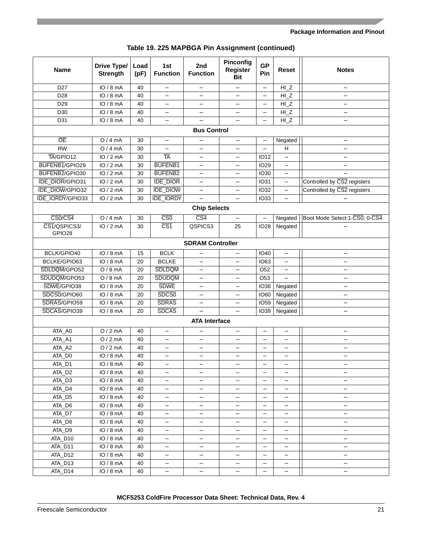| Table 19. 225 MAPBGA Pin Assignment (continued) |  |
|-------------------------------------------------|--|
|-------------------------------------------------|--|

| <b>Name</b>            | Drive Type/<br><b>Strength</b> | Load<br>(pF) | 1st<br><b>Function</b>  | 2nd<br><b>Function</b>   | Pinconfig<br><b>Register</b><br><b>Bit</b> | <b>GP</b><br>Pin         | <b>Reset</b>             | <b>Notes</b>                   |
|------------------------|--------------------------------|--------------|-------------------------|--------------------------|--------------------------------------------|--------------------------|--------------------------|--------------------------------|
| D <sub>27</sub>        | IO/8mA                         | 40           |                         |                          | $\overline{\phantom{0}}$                   |                          | $HI_Z$                   |                                |
| D <sub>28</sub>        | IO/8mA                         | 40           |                         | $\overline{\phantom{0}}$ | $\overline{\phantom{0}}$                   | $\overline{\phantom{m}}$ | $HI_Z$                   | $\overline{\phantom{0}}$       |
| D <sub>29</sub>        | IO/8mA                         | 40           |                         | $\overline{\phantom{0}}$ | $\overline{\phantom{0}}$                   | $\overline{\phantom{m}}$ | HIZ                      | $\overline{\phantom{0}}$       |
| D30                    | IO/8mA                         | 40           |                         | $\overline{\phantom{0}}$ | $\qquad \qquad -$                          | $\overline{\phantom{m}}$ | $HI_Z$                   | $\overline{\phantom{0}}$       |
| D31                    | IO / 8 mA                      | 40           | $\qquad \qquad -$       | $\overline{\phantom{0}}$ | $\overline{\phantom{0}}$                   |                          | $HI_Z$                   | —                              |
|                        |                                |              |                         | <b>Bus Control</b>       |                                            |                          |                          |                                |
| $\overline{OE}$        | O/4mA                          | 30           | $\equiv$                | $\overline{\phantom{0}}$ | $\overline{\phantom{0}}$                   | $\qquad \qquad -$        | Negated                  | $\overline{\phantom{0}}$       |
| <b>RW</b>              | O/4mA                          | 30           |                         | $\overline{\phantom{0}}$ | $\overline{\phantom{0}}$                   | $\overline{\phantom{0}}$ | H                        |                                |
| TA/GPIO12              | IO/2mA                         | 30           | <b>TA</b>               | $\overline{\phantom{0}}$ | $\overline{\phantom{0}}$                   | <b>IO12</b>              | $\equiv$                 |                                |
| BUFENB1/GPIO29         | IO/2mA                         | 30           | <b>BUFENB1</b>          | $\overline{\phantom{0}}$ | $\equiv$                                   | <b>IO29</b>              | $\equiv$                 |                                |
| BUFENB2/GPIO30         | IO/2mA                         | 30           | <b>BUFENB2</b>          | $\equiv$                 | $\overline{\phantom{0}}$                   | <b>IO30</b>              | $\equiv$                 |                                |
| <b>IDE_DIOR/GPIO31</b> | IO/2mA                         | 30           | <b>IDE_DIOR</b>         | $\equiv$                 | $\qquad \qquad -$                          | <b>IO31</b>              | $\equiv$                 | Controlled by CS2 registers    |
| IDE_DIOW/GPIO32        | IO/2mA                         | 30           | <b>IDE_DIOW</b>         | $\equiv$                 | $\equiv$                                   | <b>IO32</b>              | $\overline{\phantom{0}}$ | Controlled by CS2 registers    |
| IDE_IORDY/GPIO33       | IO/2mA                         | 30           | <b>IDE IORDY</b>        | $\overline{\phantom{0}}$ | $\equiv$                                   | <b>IO33</b>              | $\equiv$                 |                                |
|                        |                                |              |                         | <b>Chip Selects</b>      |                                            |                          |                          |                                |
| CS0/CS4                | O/4mA                          | 30           | $\overline{\text{CS}0}$ | $\overline{CS4}$         | $\qquad \qquad -$                          |                          | Negated                  | Boot Mode Select: 1-CS0; 0-CS4 |
| CS1/QSPICS3/<br>GPIO28 | IO/2mA                         | 30           | $\overline{\text{CS1}}$ | QSPICS3                  | 25                                         | <b>IO28</b>              | Negated                  |                                |
|                        |                                |              |                         | <b>SDRAM Controller</b>  |                                            |                          |                          |                                |
| BCLK/GPIO40            | IO/8mA                         | 15           | <b>BCLK</b>             | -                        |                                            | <b>IO40</b>              |                          |                                |
| BCLKE/GPIO63           | IO/8mA                         | 20           | <b>BCLKE</b>            |                          | $\overline{\phantom{0}}$                   | <b>IO63</b>              |                          |                                |
| SDLDQM/GPO52           | $O/8$ mA                       | 20           | <b>SDLDQM</b>           | -                        | $\overline{\phantom{0}}$                   | O <sub>52</sub>          |                          |                                |
| SDUDQM/GPO53           | $O/8$ mA                       | 20           | <b>SDUDQM</b>           | -                        | -                                          | O <sub>53</sub>          |                          |                                |
| SDWE/GPIO38            | IO/8mA                         | 20           | <b>SDWE</b>             | -                        | —                                          | <b>IO38</b>              | Negated                  |                                |
| SDCS0/GPIO60           | IO/8mA                         | 20           | SDCS <sub>0</sub>       | -                        | $\overline{\phantom{0}}$                   | <b>IO60</b>              | Negated                  |                                |
| SDRAS/GPIO59           | IO/8mA                         | 20           | <b>SDRAS</b>            |                          | —                                          | <b>IO59</b>              | Negated                  |                                |
| SDCAS/GPIO39           | IO/8mA                         | 20           | <b>SDCAS</b>            |                          |                                            | <b>IO39</b>              | Negated                  |                                |
|                        |                                |              |                         | <b>ATA Interface</b>     |                                            |                          |                          |                                |
| ATA_A0                 | O/2mA                          | 40           |                         |                          | $\qquad \qquad -$                          | $\overline{\phantom{0}}$ | $\overline{\phantom{0}}$ |                                |
| ATA_A1                 | O/2mA                          | 40           |                         | $\overline{\phantom{0}}$ | $\overline{\phantom{0}}$                   |                          |                          |                                |
| ATA_A2                 | O/2mA                          | 40           |                         | $\overline{\phantom{0}}$ | $\overline{\phantom{0}}$                   |                          |                          |                                |
| ATA_D0                 | IO / 8 mA                      | 40           | $\qquad \qquad -$       | $\overline{\phantom{0}}$ | $\overline{\phantom{0}}$                   |                          | $\qquad \qquad -$        | $\overline{\phantom{0}}$       |
| ATA_D1                 | IO / 8 mA                      | 40           |                         |                          |                                            |                          |                          |                                |
| ATA_D2                 | IO/8mA                         | 40           |                         | -                        | -                                          |                          |                          | -                              |
| ATA_D3                 | IO/8mA                         | 40           |                         | -                        | —                                          |                          |                          | —                              |
| ATA_D4                 | IO/8mA                         | 40           |                         | -                        | -                                          |                          |                          | -                              |
| ATA_D5                 | IO/8mA                         | 40           |                         | -                        | -                                          |                          |                          | -                              |
| ATA_D6                 | IO/8mA                         | 40           |                         | -                        | -                                          |                          |                          | —                              |
| ATA_D7                 | IO/8mA                         | 40           |                         | -                        | -                                          |                          |                          | -                              |
| ATA_D8                 | IO/8mA                         | 40           |                         | -                        | -                                          |                          |                          |                                |
| ATA_D9                 | IO/8mA                         | 40           |                         | -                        | -                                          |                          |                          | —                              |
| ATA_D10                | IO/8mA                         | 40           | -                       | -                        | -                                          |                          |                          | -                              |
| ATA_D11                | IO/8mA                         | 40           |                         | -                        | -                                          |                          |                          | -                              |
| ATA_D12                | IO/8mA                         | 40           | $\qquad \qquad -$       | -                        | -                                          |                          |                          | —                              |
| ATA_D13                | IO/8mA                         | 40           | -                       | -                        | -                                          |                          |                          | -                              |
| ATA_D14                | IO/8mA                         | 40           | -                       | —                        | -                                          |                          |                          | -                              |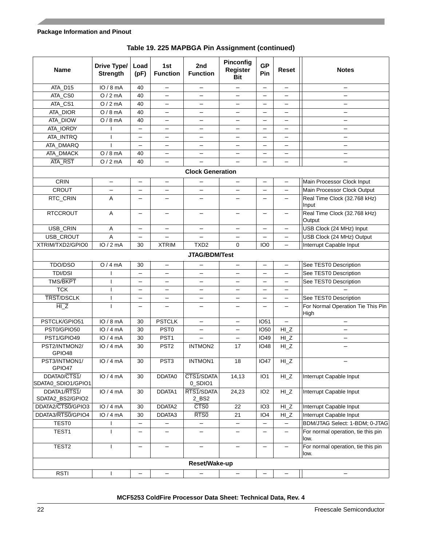| <b>Name</b>                        | Drive Type/<br><b>Strength</b> | Load<br>(pF)             | 1st<br><b>Function</b>   | 2nd<br><b>Function</b>   | Pinconfig<br><b>Register</b><br><b>Bit</b> | <b>GP</b><br>Pin         | <b>Reset</b>             | <b>Notes</b>                               |
|------------------------------------|--------------------------------|--------------------------|--------------------------|--------------------------|--------------------------------------------|--------------------------|--------------------------|--------------------------------------------|
| ATA_D15                            | IO/8mA                         | 40                       |                          |                          |                                            |                          |                          |                                            |
| ATA_CS0                            | O/2mA                          | 40                       |                          |                          | $\overline{\phantom{0}}$                   |                          |                          |                                            |
| ATA_CS1                            | O/2mA                          | 40                       |                          | -                        | —                                          |                          |                          |                                            |
| ATA_DIOR                           | $O/8$ mA                       | 40                       |                          | -                        | —                                          |                          |                          |                                            |
| ATA_DIOW                           | $O/8$ mA                       | 40                       |                          | -                        | —                                          |                          |                          |                                            |
| ATA_IORDY                          |                                | —                        |                          | -                        | —                                          |                          |                          |                                            |
| ATA_INTRQ                          | ı                              | -                        |                          |                          | —                                          |                          |                          |                                            |
| ATA_DMARQ                          |                                |                          |                          |                          | —                                          |                          |                          | -                                          |
| ATA_DMACK                          | $O/8$ mA                       | 40                       |                          |                          |                                            |                          |                          |                                            |
| ATA_RST                            | O/2mA                          | 40                       |                          |                          |                                            |                          |                          |                                            |
|                                    |                                |                          |                          | <b>Clock Generation</b>  |                                            |                          |                          |                                            |
| <b>CRIN</b>                        | $\overline{\phantom{0}}$       |                          |                          |                          |                                            |                          | $\overline{\phantom{0}}$ | Main Processor Clock Input                 |
| <b>CROUT</b>                       |                                |                          |                          |                          |                                            |                          |                          | Main Processor Clock Output                |
| RTC_CRIN                           | A                              |                          |                          |                          |                                            |                          |                          | Real Time Clock (32.768 kHz)<br>Input      |
| <b>RTCCROUT</b>                    | Α                              |                          | —                        | —                        | —                                          |                          | $\overline{\phantom{m}}$ | Real Time Clock (32.768 kHz)<br>Output     |
| USB_CRIN                           | Α                              | $\qquad \qquad -$        | $\overline{\phantom{0}}$ | $\overline{\phantom{0}}$ | $\qquad \qquad -$                          | $\overline{\phantom{m}}$ | $\qquad \qquad -$        | USB Clock (24 MHz) Input                   |
| USB_CROUT                          | A                              | $\qquad \qquad -$        |                          |                          | $\overline{\phantom{0}}$                   |                          |                          | USB Clock (24 MHz) Output                  |
| XTRIM/TXD2/GPIO0                   | IO/2mA                         | 30                       | <b>XTRIM</b>             | TXD <sub>2</sub>         | $\mathbf 0$                                | IO <sub>0</sub>          |                          | Interrupt Capable Input                    |
|                                    |                                |                          |                          | JTAG/BDM/Test            |                                            |                          |                          |                                            |
| TDO/DSO                            | O/4mA                          | 30                       | $\overline{\phantom{0}}$ | —                        | -                                          | $\overline{\phantom{0}}$ | $\overline{\phantom{0}}$ | See TEST0 Description                      |
| TDI/DSI                            |                                | —                        |                          | —                        | —                                          |                          |                          | See TEST0 Description                      |
| TMS/BKPT                           |                                | -                        |                          | —                        | $\overline{\phantom{0}}$                   |                          |                          | See TEST0 Description                      |
| <b>TCK</b>                         |                                | -                        |                          | —                        | $\overline{\phantom{0}}$                   |                          |                          |                                            |
| <b>TRST/DSCLK</b>                  |                                | -                        |                          | —                        | —                                          |                          |                          | See TEST0 Description                      |
| HZ                                 |                                |                          |                          | —                        | —                                          |                          |                          | For Normal Operation Tie This Pin<br>High  |
| PSTCLK/GPIO51                      | IO/8mA                         | 30                       | <b>PSTCLK</b>            | $\overline{\phantom{0}}$ | $\overline{\phantom{0}}$                   | <b>IO51</b>              | $\equiv$                 | $\overline{\phantom{m}}$                   |
| PST0/GPIO50                        | IO/4mA                         | 30                       | PST <sub>0</sub>         | $\overline{\phantom{0}}$ | $\equiv$                                   | <b>IO50</b>              | $HI_Z$                   | $\overline{\phantom{0}}$                   |
| PST1/GPIO49                        | IO/4mA                         | 30                       | PST <sub>1</sub>         | $\overline{\phantom{0}}$ | $\equiv$                                   | <b>IO49</b>              | $HI_Z$                   | $\qquad \qquad -$                          |
| PST2/INTMON2/<br>GPIO48            | IO/4mA                         | 30                       | PST <sub>2</sub>         | INTMON2                  | 17                                         | <b>IO48</b>              | $HI_Z$                   |                                            |
| PST3/INTMON1/<br>GPIO47            | IO/4mA                         | 30                       | PST <sub>3</sub>         | <b>INTMON1</b>           | 18                                         | <b>IO47</b>              | HIZ                      | <b>—</b>                                   |
| DDATA0/CTS1/<br>SDATA0_SDIO1/GPIO1 | IO/4mA                         | 30                       | DDATA0                   | CTS1/SDATA<br>0_SDIO1    | 14,13                                      | IO <sub>1</sub>          | $HI_Z$                   | Interrupt Capable Input                    |
| DDATA1/RTS1/<br>SDATA2_BS2/GPIO2   | IO/4mA                         | 30                       | DDATA1                   | RTS1/SDATA<br>2_BS2      | 24,23                                      | IO <sub>2</sub>          | $HI_Z$                   | Interrupt Capable Input                    |
| DDATA2/CTS0/GPIO3                  | IO/4mA                         | 30                       | DDATA2                   | CTS <sub>0</sub>         | 22                                         | IO <sub>3</sub>          | $HI_Z$                   | Interrupt Capable Input                    |
| DDATA3/RTS0/GPIO4                  | IO/4mA                         | 30                       | DDATA3                   | RTS0                     | 21                                         | IO <sub>4</sub>          | $HI_Z$                   | Interrupt Capable Input                    |
| <b>TEST0</b>                       | ı                              | $\qquad \qquad -$        | —                        | $\qquad \qquad -$        | $\qquad \qquad -$                          | $\overline{\phantom{m}}$ | —                        | BDM/JTAG Select: 1-BDM; 0-JTAG             |
| TEST1                              |                                | $\overline{\phantom{0}}$ | —                        | —                        |                                            | —                        |                          | For normal operation, tie this pin<br>low. |
| TEST2                              |                                | —                        | —                        | —                        |                                            |                          |                          | For normal operation, tie this pin<br>low. |
|                                    |                                |                          |                          | Reset/Wake-up            |                                            |                          |                          |                                            |
| <b>RSTI</b>                        |                                |                          |                          |                          |                                            |                          |                          |                                            |

#### **Table 19. 225 MAPBGA Pin Assignment (continued)**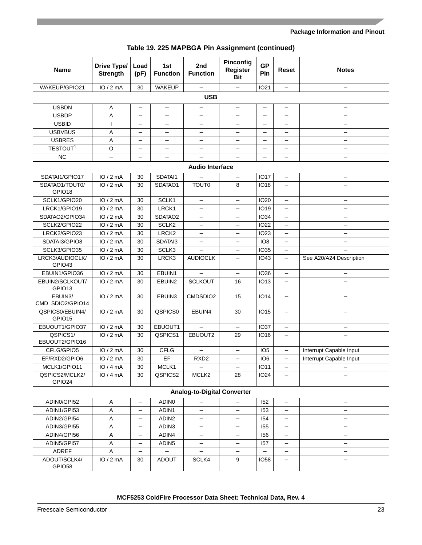| Table 19. 225 MAPBGA Pin Assignment (continued) |  |
|-------------------------------------------------|--|
|-------------------------------------------------|--|

| <b>Name</b>                           | <b>Drive Type/</b><br><b>Strength</b> | Load<br>(pF)             | 1st<br><b>Function</b>   | 2nd<br><b>Function</b>             | Pinconfig<br>Register<br><b>Bit</b> | <b>GP</b><br>Pin         | <b>Reset</b>             | <b>Notes</b>             |  |  |  |
|---------------------------------------|---------------------------------------|--------------------------|--------------------------|------------------------------------|-------------------------------------|--------------------------|--------------------------|--------------------------|--|--|--|
| <b>WAKEUP/GPIO21</b>                  | IO/2mA                                | 30                       | <b>WAKEUP</b>            |                                    |                                     | <b>IO21</b>              |                          | $\qquad \qquad$          |  |  |  |
| <b>USB</b>                            |                                       |                          |                          |                                    |                                     |                          |                          |                          |  |  |  |
| <b>USBDN</b>                          | Α                                     | $\overline{\phantom{m}}$ | $\overline{\phantom{0}}$ | $\overline{\phantom{0}}$           | $\overline{\phantom{0}}$            | $\qquad \qquad -$        | $\qquad \qquad -$        | $\qquad \qquad -$        |  |  |  |
| <b>USBDP</b>                          | Α                                     | $\overline{\phantom{0}}$ |                          | $\overline{\phantom{0}}$           | $\overline{\phantom{0}}$            | $\overline{\phantom{0}}$ | $\overline{\phantom{0}}$ | $\qquad \qquad -$        |  |  |  |
| <b>USBID</b>                          | I                                     | $\overline{\phantom{0}}$ |                          | $\overline{\phantom{0}}$           | $\overline{\phantom{0}}$            | $\overline{\phantom{0}}$ | $\overline{\phantom{0}}$ | $\qquad \qquad -$        |  |  |  |
| <b>USBVBUS</b>                        | Α                                     |                          | $\overline{\phantom{0}}$ | $\overline{\phantom{0}}$           | $\overline{\phantom{0}}$            | $\overline{\phantom{0}}$ | $\overline{\phantom{0}}$ | $\overline{\phantom{0}}$ |  |  |  |
| <b>USBRES</b>                         | Α                                     | $\overline{\phantom{0}}$ |                          | $\overline{\phantom{0}}$           | $\overline{\phantom{0}}$            |                          | $\overline{\phantom{0}}$ | $\qquad \qquad -$        |  |  |  |
| TESTOUT <sup>1</sup>                  | O                                     | $\overline{\phantom{0}}$ | $\overline{\phantom{0}}$ | $\overline{\phantom{0}}$           | $\overline{\phantom{0}}$            | $\overline{\phantom{0}}$ | $\overline{\phantom{0}}$ | $\overline{\phantom{0}}$ |  |  |  |
| <b>NC</b>                             | $\overline{\phantom{0}}$              | $\overline{\phantom{0}}$ | $\overline{\phantom{0}}$ | $\overline{\phantom{0}}$           | $\equiv$                            | $\overline{\phantom{0}}$ | $\overline{\phantom{0}}$ | $\overline{\phantom{0}}$ |  |  |  |
|                                       |                                       |                          |                          | <b>Audio Interface</b>             |                                     |                          |                          |                          |  |  |  |
| SDATAI1/GPIO17                        | IO/2mA                                | 30                       | SDATAI1                  |                                    | —                                   | <b>IO17</b>              | $\overline{\phantom{0}}$ | —                        |  |  |  |
| SDATAO1/TOUT0/                        | IO/2mA                                | 30                       | SDATAO1                  | <b>TOUT0</b>                       | 8                                   | <b>IO18</b>              | $\overline{\phantom{0}}$ |                          |  |  |  |
| GPIO18                                |                                       |                          |                          |                                    |                                     |                          |                          |                          |  |  |  |
| SCLK1/GPIO20                          | IO/2mA                                | 30                       | SCLK1                    |                                    | $\overline{\phantom{0}}$            | <b>IO20</b>              | $\qquad \qquad -$        | $\qquad \qquad -$        |  |  |  |
| LRCK1/GPIO19                          | IO/2mA                                | 30                       | LRCK1                    |                                    | $\overline{\phantom{0}}$            | <b>IO19</b>              |                          |                          |  |  |  |
| SDATAO2/GPIO34                        | IO/2mA                                | 30                       | SDATAO <sub>2</sub>      |                                    | $\overline{\phantom{0}}$            | <b>IO34</b>              |                          |                          |  |  |  |
| SCLK2/GPIO22                          | IO/2mA                                | 30                       | SCLK2                    | —                                  | $\overline{\phantom{0}}$            | <b>IO22</b>              |                          | $\overline{\phantom{0}}$ |  |  |  |
| LRCK2/GPIO23                          | IO/2mA                                | 30                       | LRCK <sub>2</sub>        |                                    | $\overline{\phantom{0}}$            | <b>IO23</b>              |                          |                          |  |  |  |
| SDATAI3/GPIO8                         | IO/2mA                                | 30                       | SDATAI3                  |                                    | $\overline{\phantom{0}}$            | IO <sub>8</sub>          |                          |                          |  |  |  |
| SCLK3/GPIO35                          | IO/2mA                                | 30                       | SCLK3                    |                                    | $\overline{\phantom{0}}$            | <b>IO35</b>              | $\qquad \qquad -$        |                          |  |  |  |
| LRCK3/AUDIOCLK/<br>GPIO <sub>43</sub> | IO/2mA                                | 30                       | LRCK3                    | <b>AUDIOCLK</b>                    | $\overline{\phantom{0}}$            | <b>IO43</b>              | -                        | See A20/A24 Description  |  |  |  |
| EBUIN1/GPIO36                         | IO/2mA                                | 30                       | EBUIN1                   |                                    | $\qquad \qquad -$                   | <b>IO36</b>              | $\qquad \qquad -$        |                          |  |  |  |
| EBUIN2/SCLKOUT/<br>GPIO13             | IO/2mA                                | 30                       | EBUIN2                   | <b>SCLKOUT</b>                     | 16                                  | <b>IO13</b>              |                          |                          |  |  |  |
| EBUIN3/<br>CMD_SDIO2/GPIO14           | IO/2mA                                | 30                       | EBUIN3                   | CMDSDIO2                           | 15                                  | <b>IO14</b>              | $\qquad \qquad -$        |                          |  |  |  |
| QSPICS0/EBUIN4/<br>GPIO15             | IO/2mA                                | 30                       | QSPICS0                  | EBUIN4                             | 30                                  | <b>IO15</b>              | $\qquad \qquad -$        | $\qquad \qquad -$        |  |  |  |
| EBUOUT1/GPIO37                        | IO/2mA                                | 30                       | EBUOUT1                  |                                    | $\overline{\phantom{0}}$            | <b>IO37</b>              |                          |                          |  |  |  |
| QSPICS1/<br>EBUOUT2/GPIO16            | IO/2mA                                | 30                       | QSPICS1                  | EBUOUT2                            | 29                                  | <b>IO16</b>              | $\qquad \qquad -$        |                          |  |  |  |
| CFLG/GPIO5                            | IO/2mA                                | 30                       | <b>CFLG</b>              |                                    | $\overline{\phantom{0}}$            | IO <sub>5</sub>          | $\overline{\phantom{0}}$ | Interrupt Capable Input  |  |  |  |
| EF/RXD2/GPIO6                         | IO/2mA                                | 30                       | EF                       | RXD <sub>2</sub>                   | $\overline{\phantom{0}}$            | IO <sub>6</sub>          | $\overline{\phantom{0}}$ | Interrupt Capable Input  |  |  |  |
| MCLK1/GPIO11                          | IO/4mA                                | 30                       | MCLK1                    |                                    |                                     | <b>IO11</b>              |                          |                          |  |  |  |
| QSPICS2/MCLK2/<br>GPIO24              | IO/4mA                                | 30                       | QSPICS2                  | MCLK <sub>2</sub>                  | 28                                  | <b>IO24</b>              |                          |                          |  |  |  |
|                                       |                                       |                          |                          | <b>Analog-to-Digital Converter</b> |                                     |                          |                          |                          |  |  |  |
| ADIN0/GPI52                           | A                                     | $\overline{\phantom{0}}$ | ADIN <sub>0</sub>        |                                    |                                     | 152                      | $\overline{\phantom{0}}$ |                          |  |  |  |
| ADIN1/GPI53                           | Α                                     |                          | ADIN1                    | —                                  |                                     | 153                      |                          |                          |  |  |  |
| ADIN2/GPI54                           | Α                                     |                          | ADIN <sub>2</sub>        |                                    |                                     | 154                      |                          | $\overline{\phantom{0}}$ |  |  |  |
| ADIN3/GPI55                           | Α                                     |                          | ADIN3                    |                                    |                                     | 155                      |                          | $\overline{\phantom{0}}$ |  |  |  |
| ADIN4/GPI56                           | Α                                     |                          | ADIN4                    | —                                  |                                     | 156                      |                          | $\qquad \qquad -$        |  |  |  |
| ADIN5/GPI57                           | Α                                     |                          | ADIN <sub>5</sub>        |                                    |                                     | 157                      |                          | $\overline{\phantom{0}}$ |  |  |  |
| ADREF                                 | A                                     |                          |                          |                                    |                                     |                          |                          |                          |  |  |  |
| ADOUT/SCLK4/<br>GPIO58                | IO / 2 mA                             | 30                       | <b>ADOUT</b>             | SCLK4                              | 9                                   | <b>IO58</b>              |                          |                          |  |  |  |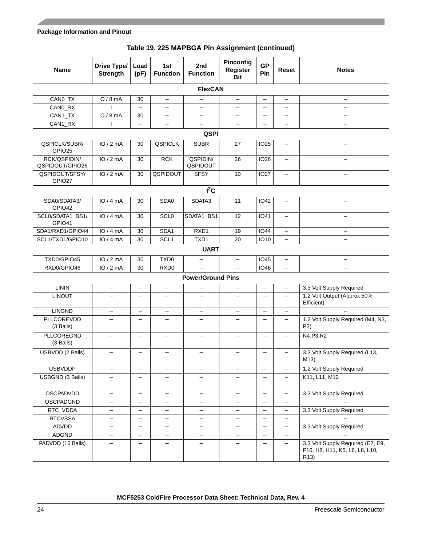| Table 19. 225 MAPBGA Pin Assignment (continued) |  |  |
|-------------------------------------------------|--|--|
|-------------------------------------------------|--|--|

| <b>Name</b>                         | Drive Type/<br><b>Strength</b> | Load<br>(pF)             | 1st<br><b>Function</b>   | 2nd<br><b>Function</b>   | Pinconfig<br>Register<br>Bit | <b>GP</b><br>Pin         | <b>Reset</b>             | <b>Notes</b>                                                                |  |  |  |
|-------------------------------------|--------------------------------|--------------------------|--------------------------|--------------------------|------------------------------|--------------------------|--------------------------|-----------------------------------------------------------------------------|--|--|--|
|                                     | <b>FlexCAN</b>                 |                          |                          |                          |                              |                          |                          |                                                                             |  |  |  |
| CANO_TX                             | $O/8$ mA                       | 30                       | $\qquad \qquad -$        | $\overline{\phantom{m}}$ | $\overline{\phantom{0}}$     | $\overline{\phantom{m}}$ | $\qquad \qquad -$        | —                                                                           |  |  |  |
| CANO_RX                             |                                | $\overline{\phantom{0}}$ | $\qquad \qquad -$        | $\overline{\phantom{0}}$ | $\overline{\phantom{0}}$     | $\overline{\phantom{m}}$ |                          | $\overline{\phantom{0}}$                                                    |  |  |  |
| CAN1_TX                             | $O/8$ mA                       | 30                       | —                        | -                        | —                            | $\qquad \qquad -$        | $\qquad \qquad -$        | —                                                                           |  |  |  |
| CAN1_RX                             | ı                              | $\qquad \qquad -$        | -                        | $\qquad \qquad -$        | $\overline{\phantom{0}}$     |                          |                          | $\overline{\phantom{0}}$                                                    |  |  |  |
|                                     | <b>QSPI</b>                    |                          |                          |                          |                              |                          |                          |                                                                             |  |  |  |
| QSPICLK/SUBR/<br>GPIO <sub>25</sub> | IO/2mA                         | 30                       | <b>QSPICLK</b>           | <b>SUBR</b>              | 27                           | <b>IO25</b>              | $\qquad \qquad -$        |                                                                             |  |  |  |
| RCK/QSPIDIN/<br>QSPIDOUT/GPIO26     | IO/2mA                         | 30                       | <b>RCK</b>               | QSPIDIN/<br>QSPIDOUT     | 26                           | <b>IO26</b>              | $\qquad \qquad -$        | —                                                                           |  |  |  |
| QSPIDOUT/SFSY/<br>GPIO27            | IO/2mA                         | 30                       | QSPIDOUT                 | <b>SFSY</b>              | 10                           | <b>IO27</b>              | $\overline{\phantom{0}}$ | $\overline{\phantom{0}}$                                                    |  |  |  |
|                                     |                                |                          |                          | $I^2C$                   |                              |                          |                          |                                                                             |  |  |  |
| SDA0/SDATA3/<br>GPIO42              | IO/4mA                         | 30                       | SDA0                     | SDATA3                   | 11                           | <b>IO42</b>              |                          | $\overline{\phantom{0}}$                                                    |  |  |  |
| SCL0/SDATA1_BS1/<br>GPIO41          | IO/4mA                         | 30                       | <b>SCLO</b>              | SDATA1_BS1               | 12                           | <b>IO41</b>              |                          |                                                                             |  |  |  |
| SDA1/RXD1/GPIO44                    | IO/4mA                         | 30                       | SDA1                     | RXD1                     | 19                           | $\overline{10}44$        | $\overline{\phantom{0}}$ |                                                                             |  |  |  |
| SCL1/TXD1/GPIO10                    | IO/4mA                         | 30                       | SCL <sub>1</sub>         | TXD1                     | 20                           | <b>IO10</b>              | $\qquad \qquad -$        | $\overline{\phantom{0}}$                                                    |  |  |  |
|                                     |                                |                          |                          | <b>UART</b>              |                              |                          |                          |                                                                             |  |  |  |
| TXD0/GPIO45                         | IO/2mA                         | 30                       | TXD <sub>0</sub>         | $\qquad \qquad -$        | $\overline{\phantom{m}}$     | <b>IO45</b>              | -                        | —                                                                           |  |  |  |
| RXD0/GPIO46                         | IO/2mA                         | 30                       | RXD <sub>0</sub>         | $\qquad \qquad -$        |                              | <b>IO46</b>              | $\overline{\phantom{0}}$ | $\overline{\phantom{0}}$                                                    |  |  |  |
|                                     |                                |                          |                          | <b>Power/Ground Pins</b> |                              |                          |                          |                                                                             |  |  |  |
| <b>LININ</b>                        | —                              | $\qquad \qquad -$        | -                        | $\overline{\phantom{m}}$ | —                            | $\overline{\phantom{0}}$ | $\qquad \qquad -$        | 3.3 Volt Supply Required                                                    |  |  |  |
| <b>LINOUT</b>                       | $\overline{\phantom{0}}$       | $\overline{\phantom{0}}$ | $\overline{\phantom{0}}$ |                          | $\overline{\phantom{0}}$     | $\overline{\phantom{0}}$ |                          | 1.2 Volt Output (Approx 50%<br>Efficient)                                   |  |  |  |
| <b>LINGND</b>                       | —                              | $\overline{\phantom{0}}$ |                          |                          |                              |                          |                          |                                                                             |  |  |  |
| PLLCOREVDD<br>(3 Balls)             |                                |                          |                          |                          |                              |                          |                          | 1.2 Volt Supply Required (M4, N3,<br>P <sub>2</sub>                         |  |  |  |
| PLLCOREGND<br>(3 Balls)             | -                              | $\overline{\phantom{0}}$ |                          |                          |                              | $\overline{\phantom{0}}$ |                          | N4, P3, R2                                                                  |  |  |  |
| USBVDD (2 Balls)                    |                                |                          |                          |                          |                              |                          |                          | 3.3 Volt Supply Required (L13,<br>M13)                                      |  |  |  |
| <b>USBVDDP</b>                      | -                              | $\overline{\phantom{0}}$ | -                        | $\overline{\phantom{m}}$ | -                            | $\qquad \qquad -$        | $\qquad \qquad -$        | 1.2 Volt Supply Required                                                    |  |  |  |
| USBGND (3 Balls)                    |                                |                          |                          |                          |                              |                          |                          | K11, L11, M12                                                               |  |  |  |
| OSCPADVDD                           | —                              | $\qquad \qquad -$        |                          | $\qquad \qquad -$        | $\overline{\phantom{0}}$     |                          | $\qquad \qquad -$        | 3.3 Volt Supply Required                                                    |  |  |  |
| OSCPADGND                           | $\overline{\phantom{0}}$       | $\overline{\phantom{0}}$ |                          |                          |                              |                          | —                        |                                                                             |  |  |  |
| RTC_VDDA                            | —                              | —                        |                          |                          | -                            | $\qquad \qquad -$        | $\qquad \qquad -$        | 3.3 Volt Supply Required                                                    |  |  |  |
| <b>RTCVSSA</b>                      | —                              | $\qquad \qquad -$        |                          | $\overline{\phantom{0}}$ | —                            |                          | $\qquad \qquad -$        |                                                                             |  |  |  |
| ADVDD                               | $\overline{\phantom{0}}$       | $\overline{\phantom{0}}$ |                          | $\overline{\phantom{0}}$ | $\overline{\phantom{0}}$     |                          | $\overline{\phantom{0}}$ | 3.3 Volt Supply Required                                                    |  |  |  |
| ADGND                               | —                              | $\qquad \qquad -$        | -                        | $\qquad \qquad -$        | —                            | $\qquad \qquad$          | $\qquad \qquad -$        |                                                                             |  |  |  |
| PADVDD (10 Balls)                   |                                |                          |                          |                          |                              |                          |                          | 3.3 Volt Supply Required (E7, E9,<br>F10, H8, H11, K5, L6, L8, L10,<br>R13) |  |  |  |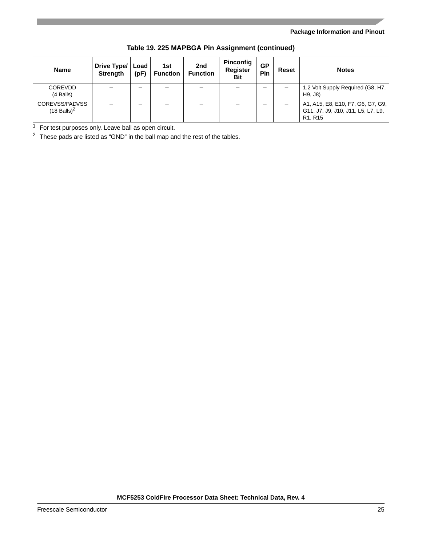| <b>Name</b>                                 | Drive Type/<br><b>Strength</b> | Load<br>(pF) | 1st<br><b>Function</b> | 2nd<br><b>Function</b> | Pinconfig<br>Register<br>Bit | <b>GP</b><br>Pin | Reset | <b>Notes</b>                                                                                                |
|---------------------------------------------|--------------------------------|--------------|------------------------|------------------------|------------------------------|------------------|-------|-------------------------------------------------------------------------------------------------------------|
| <b>COREVDD</b><br>(4 Balls)                 |                                |              |                        |                        |                              |                  |       | 1.2 Volt Supply Required (G8, H7,<br>H9, J8)                                                                |
| COREVSS/PADVSS<br>$(18$ Balls) <sup>2</sup> |                                | -            |                        |                        |                              |                  |       | A1, A15, E8, E10, F7, G6, G7, G9,<br>G11, J7, J9, J10, J11, L5, L7, L9,<br>R <sub>1</sub> , R <sub>15</sub> |

#### **Table 19. 225 MAPBGA Pin Assignment (continued)**

<sup>1</sup> For test purposes only. Leave ball as open circuit.

<sup>2</sup> These pads are listed as "GND" in the ball map and the rest of the tables.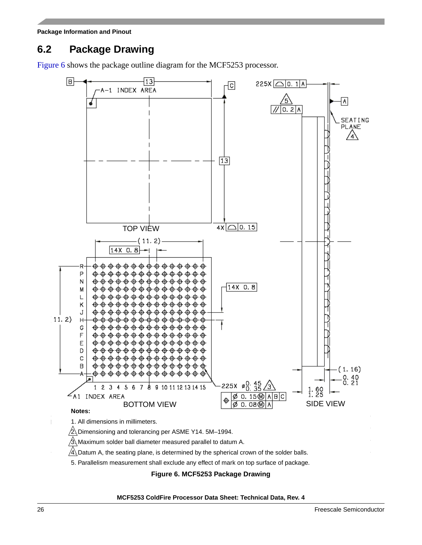### <span id="page-25-0"></span>**6.2 Package Drawing**

[Figure 6](#page-25-1) shows the package outline diagram for the MCF5253 processor.



<span id="page-25-1"></span>5. Parallelism measurement shall exclude any effect of mark on top surface of package.

**Figure 6. MCF5253 Package Drawing**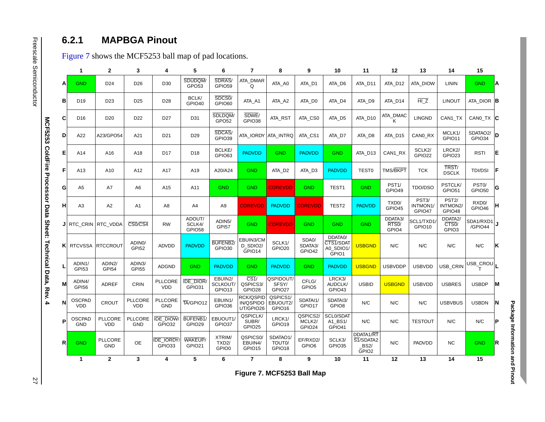|   | $\mathbf{1}$                | $\mathbf{2}$                 | 3                                   | 4                            | 5                            | 6                                     | $\overline{7}$                          | 8                                       | 9                            | 10                                         | 11                                      | 12                                                        | 13                                       | 14                                               | 15                           |
|---|-----------------------------|------------------------------|-------------------------------------|------------------------------|------------------------------|---------------------------------------|-----------------------------------------|-----------------------------------------|------------------------------|--------------------------------------------|-----------------------------------------|-----------------------------------------------------------|------------------------------------------|--------------------------------------------------|------------------------------|
| A | <b>GND</b>                  | D <sub>24</sub>              | D <sub>26</sub>                     | D30                          | SDUDQM/<br>GPO <sub>53</sub> | SDRAS/<br>GPIO59                      | ATA_DMAR<br>Q                           | ATA_A0                                  | ATA_D1                       | ATA_D6                                     | ATA_D11                                 | ATA_D12                                                   | ATA_DIOW                                 | <b>LININ</b>                                     | <b>GND</b>                   |
| в | D <sub>19</sub>             | D <sub>23</sub>              | D <sub>25</sub>                     | D28                          | BCLK/<br>GPIO <sub>40</sub>  | SDCS <sub>0</sub><br>GPIO60           | ATA_A1                                  | ATA_A2                                  | ATA_D0                       | ATA_D4                                     | ATA_D9                                  | ATA_D14                                                   | HIZ                                      | <b>LINOUT</b>                                    | ATA_DIOR B                   |
| C | D <sub>16</sub>             | D <sub>20</sub>              | D22                                 | D <sub>27</sub>              | D31                          | SDLDQM/<br>GPO <sub>52</sub>          | SDWE/<br>GPIO38                         | ATA_RST                                 | ATA_CS0                      | ATA_D5                                     | ATA_D10                                 | $\begin{array}{c} {\sf ATA\_DMAC} \\ {\sf K} \end{array}$ | <b>LINGND</b>                            | CAN1_TX                                          | CANO_TX C                    |
| D | A22                         | A23/GPO54                    | A21                                 | D <sub>21</sub>              | D <sub>29</sub>              | SDCAS/<br>GPIO39                      |                                         | ATA_IORDY ATA_INTRQ                     | ATA_CS1                      | ATA_D7                                     | ATA_D8                                  | ATA_D15                                                   | CAN0_RX                                  | MCLK1/<br>GPIO11                                 | SDATAO2/<br> D <br>GPIO34    |
| E | A14                         | A16                          | A18                                 | D17                          | D <sub>18</sub>              | BCLKE/<br>GPIO63                      | <b>PADVDD</b>                           | <b>GND</b>                              | <b>PADVDD</b>                | <b>GND</b>                                 | ATA_D13                                 | CAN1_RX                                                   | SCLK2/<br>GPIO22                         | LRCK <sub>2</sub> /<br>GPIO23                    | <b>RSTI</b>                  |
| F | A13                         | A10                          | A12                                 | A17                          | A19                          | A20/A24                               | <b>GND</b>                              | ATA_D2                                  | ATA_D3                       | <b>PADVDD</b>                              | <b>TEST0</b>                            | <b>TMS/BKPT</b>                                           | <b>TCK</b>                               | TRST/<br><b>DSCLK</b>                            | <b>TDI/DSI</b>               |
| G | A <sub>5</sub>              | A7                           | A <sub>6</sub>                      | A15                          | A11                          | <b>GND</b>                            | <b>GND</b>                              | <b>COREVDD</b>                          | <b>GND</b>                   | TEST1                                      | <b>GND</b>                              | PST <sub>1</sub> /<br>GPIO49                              | TDO/DSO                                  | PSTCLK/<br>GPIO51                                | PST <sub>0</sub> /<br>GPIO50 |
| H | A3                          | A <sub>2</sub>               | A <sub>1</sub>                      | A8                           | A4                           | A <sub>9</sub>                        | <b>COREVDD</b>                          | <b>PADVDD</b>                           | <b>COREVDD</b>               | TEST <sub>2</sub>                          | <b>PADVDD</b>                           | TXD <sub>0</sub> /<br>GPIO45                              | PST <sub>3</sub> /<br>INTMON1/<br>GPIO47 | PST <sub>2</sub> /<br>NTMON2/<br>GPIO48          | RXD <sub>0</sub> /<br>GPIO46 |
|   |                             | J RTC_CRIN RTC_VDDA          | $\overline{\text{CS0/CS4}}$         | <b>RW</b>                    | ADOUT/<br>SCLK4/<br>GPIO58   | ADIN5/<br>GPI57                       | <b>GND</b>                              | <b>COREVDD</b>                          | <b>GND</b>                   | <b>GND</b>                                 | <b>GND</b>                              | DDATA3/<br>RTS <sub>0</sub><br>GPIO4                      | SCL1/TXD1<br>GPIO10                      | DDATA2/<br>CTS <sub>0</sub><br>GPIO <sub>3</sub> | SDA1/RXD1<br>/GPIO44         |
|   | <b>K</b> RTCVSSA            | <b>RTCCROUT</b>              | ADINO/<br>GPI52                     | <b>ADVDD</b>                 | <b>PADVDD</b>                | BUFENB <sub>2</sub><br>GPIO30         | EBUIN3/CM<br>D_SDIO2/<br>GPIO14         | SCLK1/<br>GPIO20                        | SDA0/<br>SDATA3/<br>GPIO42   | DDATA0/<br>CTS1/SDAT<br>A0_SDIO1/<br>GPIO1 | <b>USBGND</b>                           | N/C                                                       | N/C                                      | N/C                                              | N/C                          |
|   | ADIN1/<br>GPI53             | ADIN2/<br>GPI54              | ADIN <sub>3</sub> /<br><b>GPI55</b> | <b>ADGND</b>                 | <b>GND</b>                   | <b>PADVDD</b>                         | <b>GND</b>                              | <b>PADVDD</b>                           | <b>GND</b>                   | <b>PADVDD</b>                              | <b>USBGND</b>                           | <b>USBVDDP</b>                                            | <b>USBVDD</b>                            | USB_CRIN                                         | USB_CROU <sub>L</sub>        |
| М | ADIN4/<br><b>GPI56</b>      | <b>ADREF</b>                 | <b>CRIN</b>                         | <b>PLLCORE</b><br>VDD        | <b>IDE_DIOR</b><br>GPIO31    | EBUIN2/<br>SCLKOUT/<br>GPIO13         | $\overline{CS1/}$<br>QSPICS3/<br>GPIO28 | QSPIDOUT/<br>SFSY/<br>GPIO27            | CFLG/<br>GPIO5               | LRCK3/<br>AUDCLK/<br>GPIO43                | <b>USBID</b>                            | <b>USBGND</b>                                             | <b>USBVDD</b>                            | <b>USBRES</b>                                    | <b>USBDP</b>                 |
| N | <b>OSCPAD</b><br><b>VDD</b> | <b>CROUT</b>                 | <b>PLLCORE</b><br><b>VDD</b>        | <b>PLLCORE</b><br><b>GND</b> | TA/GPIO12                    | EBUIN1/<br>GPIO36                     | RCK/QSPID<br>IN/QSPIDO<br>UT/GPIO26     | QSPICS1/<br>EBUOUT2/<br>GPIO16          | SDATAI1/<br>GPIO17           | SDATAI3/<br>GPIO8                          | N/C                                     | N/C                                                       | N/C                                      | <b>USBVBUS</b>                                   | <b>USBDN</b>                 |
| P | <b>OSCPAD</b><br>GND        | <b>PLLCORE</b><br><b>VDD</b> | <b>PLLCORE</b><br>GND               | <b>IDE_DIOW</b><br>GPIO32    | BUFENB1/<br>GPIO29           | EBUOUT1/<br>GPIO37                    | QSPICLK/<br>SUBR/<br>GPIO25             | LRCK1/<br>GPIO19                        | QSPICS2/<br>MCLK2/<br>GPIO24 | SCL0/SDAT<br>A1_BS1/<br>GPIO41             | N/C                                     | N/C                                                       | <b>TESTOUT</b>                           | N/C                                              | ${\sf N/C}$                  |
| R | <b>GND</b>                  | <b>PLLCORE</b><br>GND        | OE                                  | <b>DE_IORDY</b><br>GPIO33    | WAKEUP/<br>GPIO21            | XTRIM/<br>TXD <sub>2</sub> /<br>GPIO0 | QSPICS0/<br>EBUIN4/<br>GPIO15           | SDATAO1/<br>TOUT <sub>0</sub><br>GPIO18 | EF/RXD2/<br>GPIO6            | SCLK3/<br>GPIO35                           | DDATA1/RT<br>S1/SDATA2<br>BS2/<br>GPIO2 | N/C                                                       | <b>PADVDD</b>                            | <b>NC</b>                                        | <b>GND</b>                   |
|   | $\mathbf{1}$                | $\mathbf 2$                  | 3                                   | 4                            | 5                            | 6                                     | $\overline{7}$                          | 8                                       | 9                            | 10                                         | 11                                      | 12                                                        | 13                                       | 14                                               | 15                           |

<span id="page-26-1"></span><span id="page-26-0"></span>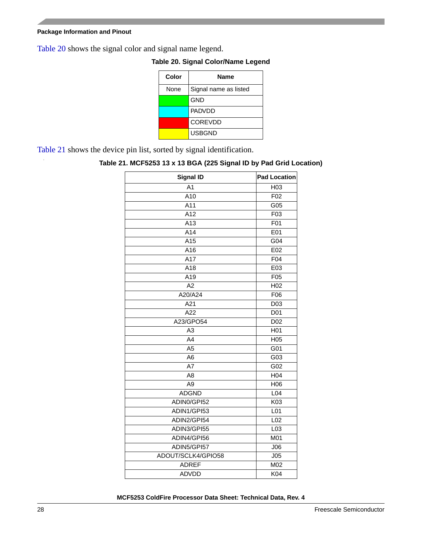<span id="page-27-1"></span>[Table 20](#page-27-1) shows the signal color and signal name legend.

| Color | <b>Name</b>           |
|-------|-----------------------|
| None  | Signal name as listed |
|       | <b>GND</b>            |
|       | <b>PADVDD</b>         |
|       | <b>COREVDD</b>        |
|       | <b>USBGND</b>         |

**Table 20. Signal Color/Name Legend**

<span id="page-27-0"></span>[Table 21](#page-27-0) shows the device pin list, sorted by signal identification.

#### **Table 21. MCF5253 13 x 13 BGA (225 Signal ID by Pad Grid Location)**

| <b>Signal ID</b>   | <b>Pad Location</b> |
|--------------------|---------------------|
| A <sub>1</sub>     | H03                 |
| A10                | F <sub>02</sub>     |
| $\overline{A11}$   | G05                 |
| A12                | F03                 |
| A13                | F01                 |
| A14                | E01                 |
| A15                | G04                 |
| A16                | E02                 |
| $\overline{A17}$   | F04                 |
| A18                | E03                 |
| A19                | F <sub>05</sub>     |
| A2                 | H <sub>02</sub>     |
| A20/A24            | F06                 |
| A21                | D <sub>03</sub>     |
| A22                | D <sub>01</sub>     |
| A23/GPO54          | D <sub>02</sub>     |
| A <sub>3</sub>     | H <sub>01</sub>     |
| A4                 | H05                 |
| A <sub>5</sub>     | G01                 |
| A <sub>6</sub>     | G03                 |
| A7                 | G02                 |
| A <sub>8</sub>     | H <sub>04</sub>     |
| $\overline{A9}$    | H06                 |
| <b>ADGND</b>       | L <sub>04</sub>     |
| ADIN0/GPI52        | K03                 |
| ADIN1/GPI53        | L01                 |
| ADIN2/GPI54        | L <sub>02</sub>     |
| ADIN3/GPI55        | L <sub>03</sub>     |
| ADIN4/GPI56        | M01                 |
| ADIN5/GPI57        | J06                 |
| ADOUT/SCLK4/GPIO58 | J05                 |
| <b>ADREF</b>       | M02                 |
| <b>ADVDD</b>       | K04                 |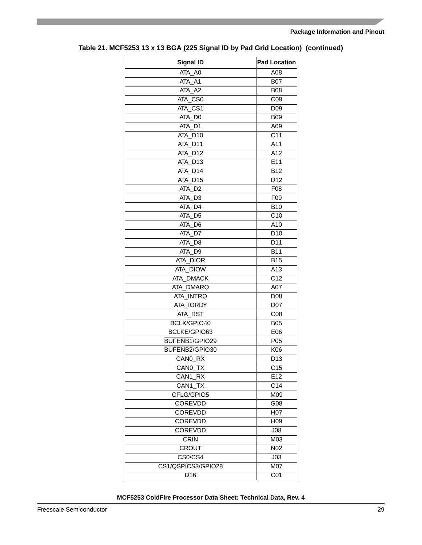| <b>Signal ID</b>                  | <b>Pad Location</b> |
|-----------------------------------|---------------------|
| ATA A0                            | A08                 |
| $ATA$ <sub>_<math>A1</math></sub> | <b>B07</b>          |
| ATA A2                            | <b>B08</b>          |
| ATA CS0                           | C <sub>09</sub>     |
| ATA_CS1                           | D <sub>09</sub>     |
| ATA_DO                            | <b>B09</b>          |
| ATA_D1                            | A09                 |
| ATA_D10                           | $\overline{C11}$    |
| ATA_D11                           | A11                 |
| ATA_D12                           | A12                 |
| ATA_D13                           | E11                 |
| ATA D14                           | <b>B12</b>          |
| ATA D15                           | D12                 |
| ATA D <sub>2</sub>                | F08                 |
| ATA_D3                            | F09                 |
| ATA_D4                            | <b>B10</b>          |
| ATA_D5                            | C10                 |
| ATA_D6                            | A10                 |
| ATA_D7                            | $\overline{D}10$    |
| ATA_D8                            | D11                 |
| ATA D9                            | <b>B11</b>          |
| ATA_DIOR                          | <b>B15</b>          |
| ATA_DIOW                          | A13                 |
| ATA DMACK                         | C <sub>12</sub>     |
| <b>ATA DMARQ</b>                  | A07                 |
| ATA_INTRQ                         | D08                 |
| ATA_IORDY                         | D07                 |
| <b>ATA RST</b>                    | C <sub>08</sub>     |
| BCLK/GPIO40                       | <b>B05</b>          |
| BCLKE/GPIO63                      | E06                 |
| BUFENB1/GPIO29                    | P05                 |
| BUFENB2/GPIO30                    | K06                 |
| CANO RX                           | D <sub>13</sub>     |
| CANO_TX                           | C <sub>15</sub>     |
| CAN1_RX                           | E12                 |
| CAN1_TX                           | C14                 |
| CFLG/GPIO5                        | M09                 |
| COREVDD                           | G08                 |
| <b>COREVDD</b>                    | H07                 |
| <b>COREVDD</b>                    | H <sub>09</sub>     |
| <b>COREVDD</b>                    | J <sub>08</sub>     |
| <b>CRIN</b>                       | M03                 |
| <b>CROUT</b>                      | N02                 |
| $\overline{\text{CS0/CS4}}$       | J03                 |
| CS1/QSPICS3/GPIO28                | M07                 |
| D16                               | C <sub>01</sub>     |
|                                   |                     |

### **Table 21. MCF5253 13 x 13 BGA (225 Signal ID by Pad Grid Location) (continued)**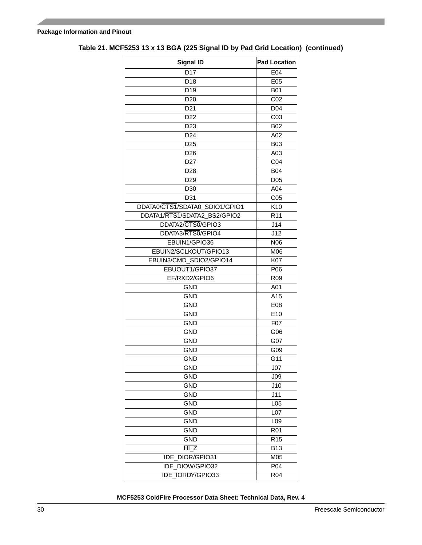| <b>Signal ID</b>               | <b>Pad Location</b> |
|--------------------------------|---------------------|
| D17                            | E04                 |
| D <sub>18</sub>                | E05                 |
| D <sub>19</sub>                | <b>B01</b>          |
| D <sub>20</sub>                | C02                 |
| D <sub>21</sub>                | D <sub>04</sub>     |
| D22                            | C <sub>03</sub>     |
| D <sub>23</sub>                | <b>B02</b>          |
| D <sub>24</sub>                | A02                 |
| D <sub>25</sub>                | <b>B03</b>          |
| D <sub>26</sub>                | A03                 |
| D <sub>27</sub>                | C04                 |
| D28                            | <b>B04</b>          |
| D <sub>29</sub>                | D <sub>05</sub>     |
| D30                            | A04                 |
| D31                            | C <sub>05</sub>     |
| DDATA0/CTS1/SDATA0_SDIO1/GPIO1 | $\overline{K10}$    |
| DDATA1/RTS1/SDATA2_BS2/GPIO2   | R <sub>11</sub>     |
| DDATA2/CTS0/GPIO3              | J14                 |
| DDATA3/RTS0/GPIO4              | J12                 |
| EBUIN1/GPIO36                  | N06                 |
| EBUIN2/SCLKOUT/GPIO13          | M06                 |
| EBUIN3/CMD SDIO2/GPIO14        | <b>K07</b>          |
| EBUOUT1/GPIO37                 | P06                 |
| EF/RXD2/GPIO6                  | R <sub>09</sub>     |
| <b>GND</b>                     | A01                 |
| <b>GND</b>                     | A15                 |
| <b>GND</b>                     | E08                 |
| <b>GND</b>                     | E10                 |
| <b>GND</b>                     | F07                 |
| <b>GND</b>                     | G06                 |
| <b>GND</b>                     | G07                 |
| <b>GND</b>                     | G09                 |
| <b>GND</b>                     | G11                 |
| <b>GND</b>                     | J07                 |
| <b>GND</b>                     | J09                 |
| <b>GND</b>                     | J10                 |
| GND                            | J11                 |
| <b>GND</b>                     | L <sub>05</sub>     |
| <b>GND</b>                     | L07                 |
| <b>GND</b>                     | L09                 |
| <b>GND</b>                     | <b>R01</b>          |
| <b>GND</b>                     | R <sub>15</sub>     |
| HI <sub>Z</sub>                | <b>B13</b>          |
| DIOR/GPIO31<br><b>IDE</b>      | M05                 |
| DIOW/GPIO32<br>IDE             | P04                 |
| IORDY/GPIO33<br>IDE            | R04                 |

### **Table 21. MCF5253 13 x 13 BGA (225 Signal ID by Pad Grid Location) (continued)**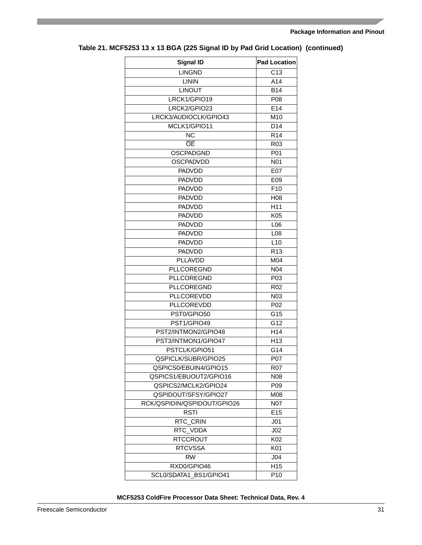| <b>Signal ID</b>            | <b>Pad Location</b> |
|-----------------------------|---------------------|
| <b>LINGND</b>               | C <sub>13</sub>     |
| <b>LININ</b>                | A14                 |
| LINOUT                      | <b>B14</b>          |
| LRCK1/GPIO19                | P08                 |
| LRCK2/GPIO23                | E14                 |
| LRCK3/AUDIOCLK/GPIO43       | M10                 |
| MCLK1/GPIO11                | D <sub>14</sub>     |
| NC                          | R <sub>14</sub>     |
| OE                          | R <sub>03</sub>     |
| OSCPADGND                   | P01                 |
| <b>OSCPADVDD</b>            | N <sub>0</sub> 1    |
| <b>PADVDD</b>               | E07                 |
| <b>PADVDD</b>               | E09                 |
| <b>PADVDD</b>               | F <sub>10</sub>     |
| <b>PADVDD</b>               | H08                 |
| <b>PADVDD</b>               | H <sub>11</sub>     |
| PADVDD                      | K05                 |
| <b>PADVDD</b>               | L06                 |
| <b>PADVDD</b>               | L <sub>08</sub>     |
| <b>PADVDD</b>               | L10                 |
| <b>PADVDD</b>               | R <sub>13</sub>     |
| PLLAVDD                     | M04                 |
| PLLCOREGND                  | N04                 |
| <b>PLLCOREGND</b>           | P03                 |
| PLLCOREGND                  | R <sub>02</sub>     |
| PLLCOREVDD                  | N03                 |
| <b>PLLCOREVDD</b>           | P <sub>02</sub>     |
| PST0/GPIO50                 | G15                 |
| PST1/GPIO49                 | G12                 |
| PST2/INTMON2/GPIO48         | H14                 |
| PST3/INTMON1/GPIO47         | H <sub>13</sub>     |
| PSTCLK/GPIO51               | G14                 |
| QSPICLK/SUBR/GPIO25         | <b>P07</b>          |
| QSPICS0/EBUIN4/GPIO15       | R07                 |
| QSPICS1/EBUOUT2/GPIO16      | N08                 |
| QSPICS2/MCLK2/GPIO24        | P <sub>09</sub>     |
| QSPIDOUT/SFSY/GPIO27        | M08                 |
| RCK/QSPIDIN/QSPIDOUT/GPIO26 | <b>N07</b>          |
| <b>RSTI</b>                 | E <sub>15</sub>     |
| RTC_CRIN                    | J <sub>01</sub>     |
| RTC VDDA                    | J <sub>02</sub>     |
| <b>RTCCROUT</b>             | K02                 |
| <b>RTCVSSA</b>              | K01                 |
|                             |                     |
| <b>RW</b>                   | J04                 |
| RXD0/GPIO46                 | H <sub>15</sub>     |
| SCL0/SDATA1_BS1/GPIO41      | P <sub>10</sub>     |

### **Table 21. MCF5253 13 x 13 BGA (225 Signal ID by Pad Grid Location) (continued)**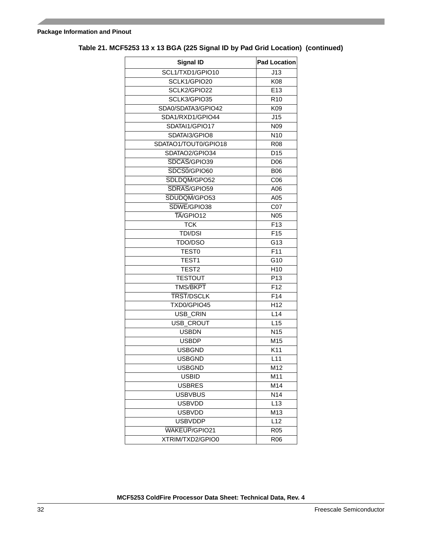| <b>Signal ID</b>     | <b>Pad Location</b> |
|----------------------|---------------------|
| SCL1/TXD1/GPIO10     | J13                 |
| SCLK1/GPIO20         | K08                 |
| SCLK2/GPIO22         | E13                 |
| SCLK3/GPIO35         | R <sub>10</sub>     |
| SDA0/SDATA3/GPIO42   | K09                 |
| SDA1/RXD1/GPIO44     | J15                 |
| SDATAI1/GPIO17       | N <sub>09</sub>     |
| SDATAI3/GPIO8        | N <sub>10</sub>     |
| SDATAO1/TOUT0/GPIO18 | R <sub>08</sub>     |
| SDATAO2/GPIO34       | D <sub>15</sub>     |
| SDCAS/GPIO39         | D <sub>06</sub>     |
| SDCS0/GPIO60         | <b>B06</b>          |
| SDLDQM/GPO52         | CO6                 |
| SDRAS/GPIO59         | A06                 |
| SDUDQM/GPO53         | A05                 |
| SDWE/GPIO38          | C <sub>07</sub>     |
| TA/GPIO12            | <b>N05</b>          |
| <b>TCK</b>           | F <sub>13</sub>     |
| <b>TDI/DSI</b>       | F <sub>15</sub>     |
| TDO/DSO              | G13                 |
| <b>TEST0</b>         | F11                 |
| TEST <sub>1</sub>    | G <sub>10</sub>     |
| TEST <sub>2</sub>    | H <sub>10</sub>     |
| <b>TESTOUT</b>       | P <sub>13</sub>     |
| <b>TMS/BKPT</b>      | F <sub>12</sub>     |
| <b>TRST/DSCLK</b>    | F14                 |
| TXD0/GPIO45          | H <sub>12</sub>     |
| USB_CRIN             | L14                 |
| USB_CROUT            | L15                 |
| <b>USBDN</b>         | N <sub>15</sub>     |
| <b>USBDP</b>         | M <sub>15</sub>     |
| <b>USBGND</b>        | K11                 |
| <b>USBGND</b>        | $\overline{L}$ 11   |
| <b>USBGND</b>        | M12                 |
| <b>USBID</b>         | M11                 |
| <b>USBRES</b>        | M14                 |
| <b>USBVBUS</b>       | N14                 |
| <b>USBVDD</b>        | L <sub>13</sub>     |
| <b>USBVDD</b>        | M13                 |
| <b>USBVDDP</b>       | L12                 |
| <b>WAKEUP/GPIO21</b> | <b>R05</b>          |
| XTRIM/TXD2/GPIO0     | R <sub>06</sub>     |

### **Table 21. MCF5253 13 x 13 BGA (225 Signal ID by Pad Grid Location) (continued)**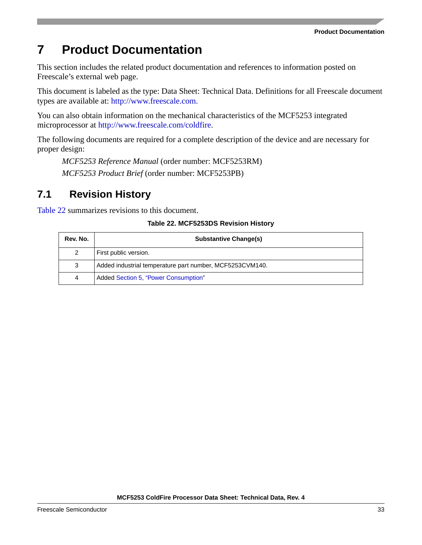#### **Product Documentation**

# <span id="page-32-0"></span>**7 Product Documentation**

This section includes the related product documentation and references to information posted on Freescale's external web page.

This document is labeled as the type: Data Sheet: Technical Data. Definitions for all Freescale document types are available at: [http://www.freescale.com.](http://www.freescale.com/coldfire)

You can also obtain information on the mechanical characteristics of the MCF5253 integrated microprocessor at <http://www.freescale.com/coldfire>.

The following documents are required for a complete description of the device and are necessary for proper design:

*MCF5253 Reference Manual* (order number: MCF5253RM) *MCF5253 Product Brief* (order number: MCF5253PB)

## <span id="page-32-1"></span>**7.1 Revision History**

<span id="page-32-2"></span>[Table 22](#page-32-2) summar[izes rev](#page-26-0)isions to this document.

#### **Table 22. [MCF525](#page-1-1)3DS Revision History**

| Rev. No. | <b>Substantive Change(s)</b>                             |
|----------|----------------------------------------------------------|
| 2        | First public version.                                    |
| 3        | Added industrial temperature part number, MCF5253CVM140. |
| 4        | Added Section 5, "Power Consumption"                     |